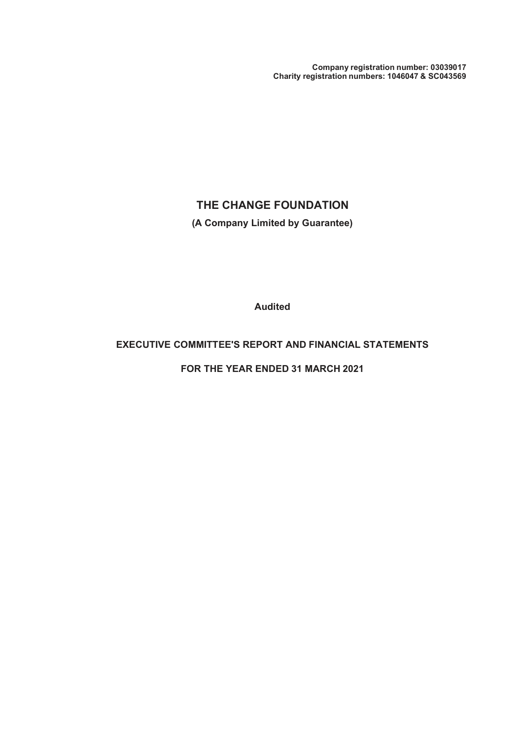Company registration number: 03039017 Charity registration numbers: 1046047 & SC043569

# THE CHANGE FOUNDATION

(A Company Limited by Guarantee)

Audited

# EXECUTIVE COMMITTEE'S REPORT AND FINANCIAL STATEMENTS

FOR THE YEAR ENDED 31 MARCH 2021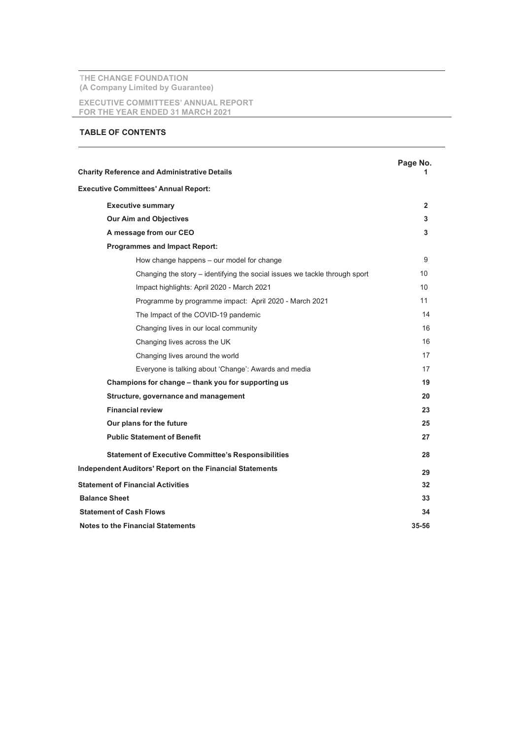EXECUTIVE COMMITTEES' ANNUAL REPORT FOR THE YEAR ENDED 31 MARCH 2021

# TABLE OF CONTENTS

| <b>Charity Reference and Administrative Details</b>                        | Page No.       |
|----------------------------------------------------------------------------|----------------|
| <b>Executive Committees' Annual Report:</b>                                |                |
| <b>Executive summary</b>                                                   | $\overline{2}$ |
| <b>Our Aim and Objectives</b>                                              | 3              |
| A message from our CEO                                                     | 3              |
| <b>Programmes and Impact Report:</b>                                       |                |
| How change happens - our model for change                                  | 9              |
| Changing the story - identifying the social issues we tackle through sport | 10             |
| Impact highlights: April 2020 - March 2021                                 | 10             |
| Programme by programme impact: April 2020 - March 2021                     | 11             |
| The Impact of the COVID-19 pandemic                                        | 14             |
| Changing lives in our local community                                      | 16             |
| Changing lives across the UK                                               | 16             |
| Changing lives around the world                                            | 17             |
| Everyone is talking about 'Change': Awards and media                       | 17             |
| Champions for change – thank you for supporting us                         | 19             |
| Structure, governance and management                                       | 20             |
| <b>Financial review</b>                                                    | 23             |
| Our plans for the future                                                   | 25             |
| <b>Public Statement of Benefit</b>                                         | 27             |
| <b>Statement of Executive Committee's Responsibilities</b>                 | 28             |
| <b>Independent Auditors' Report on the Financial Statements</b>            | 29             |
| <b>Statement of Financial Activities</b>                                   | 32             |
| <b>Balance Sheet</b>                                                       | 33             |
| <b>Statement of Cash Flows</b>                                             | 34             |
| <b>Notes to the Financial Statements</b>                                   | 35-56          |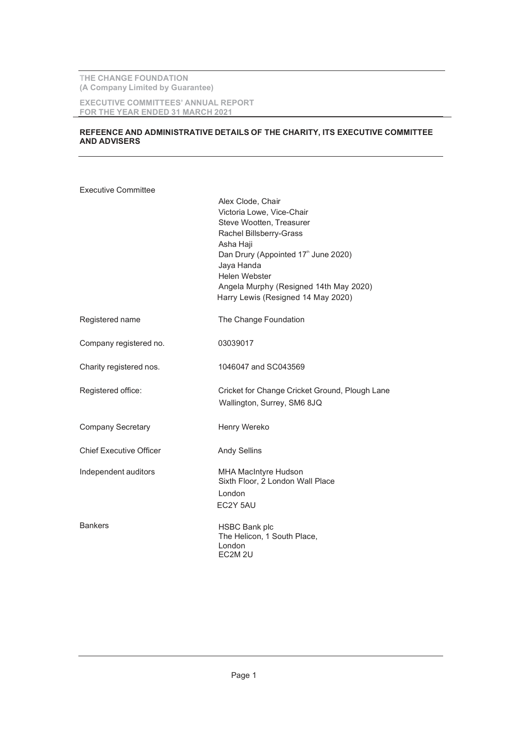#### EXECUTIVE COMMITTEES' ANNUAL REPORT FOR THE YEAR ENDED 31 MARCH 2021

# REFEENCE AND ADMINISTRATIVE DETAILS OF THE CHARITY, ITS EXECUTIVE COMMITTEE AND ADVISERS

| <b>Executive Committee</b>     |                                                                                                                                                                                                                                                                                              |
|--------------------------------|----------------------------------------------------------------------------------------------------------------------------------------------------------------------------------------------------------------------------------------------------------------------------------------------|
|                                | Alex Clode, Chair<br>Victoria Lowe, Vice-Chair<br>Steve Wootten, Treasurer<br>Rachel Billsberry-Grass<br>Asha Haji<br>Dan Drury (Appointed 17 <sup>th</sup> June 2020)<br>Jaya Handa<br><b>Helen Webster</b><br>Angela Murphy (Resigned 14th May 2020)<br>Harry Lewis (Resigned 14 May 2020) |
| Registered name                | The Change Foundation                                                                                                                                                                                                                                                                        |
| Company registered no.         | 03039017                                                                                                                                                                                                                                                                                     |
| Charity registered nos.        | 1046047 and SC043569                                                                                                                                                                                                                                                                         |
| Registered office:             | Cricket for Change Cricket Ground, Plough Lane<br>Wallington, Surrey, SM6 8JQ                                                                                                                                                                                                                |
| <b>Company Secretary</b>       | Henry Wereko                                                                                                                                                                                                                                                                                 |
| <b>Chief Executive Officer</b> | <b>Andy Sellins</b>                                                                                                                                                                                                                                                                          |
| Independent auditors           | <b>MHA MacIntyre Hudson</b><br>Sixth Floor, 2 London Wall Place<br>London<br>EC2Y 5AU                                                                                                                                                                                                        |
| <b>Bankers</b>                 | <b>HSBC Bank plc</b><br>The Helicon, 1 South Place,<br>London<br>EC2M <sub>2U</sub>                                                                                                                                                                                                          |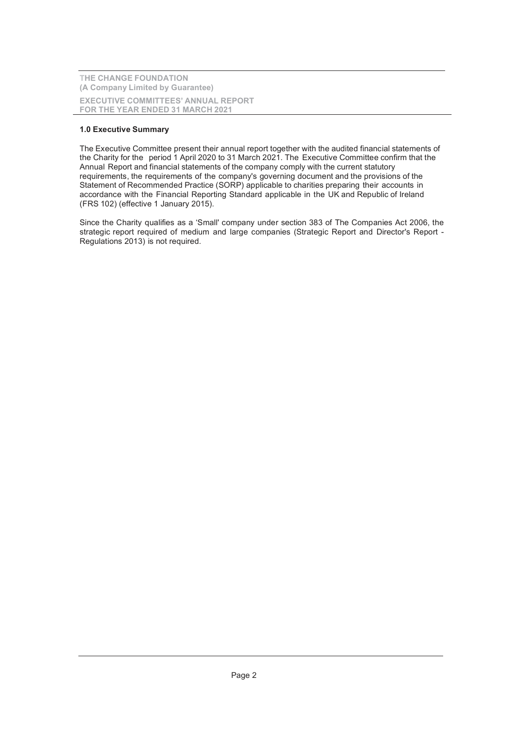# 1.0 Executive Summary

The Executive Committee present their annual report together with the audited financial statements of the Charity for the period 1 April 2020 to 31 March 2021. The Executive Committee confirm that the Annual Report and financial statements of the company comply with the current statutory requirements, the requirements of the company's governing document and the provisions of the Statement of Recommended Practice (SORP) applicable to charities preparing their accounts in accordance with the Financial Reporting Standard applicable in the UK and Republic of Ireland (FRS 102) (effective 1 January 2015).

Since the Charity qualifies as a 'Small' company under section 383 of The Companies Act 2006, the strategic report required of medium and large companies (Strategic Report and Director's Report - Regulations 2013) is not required.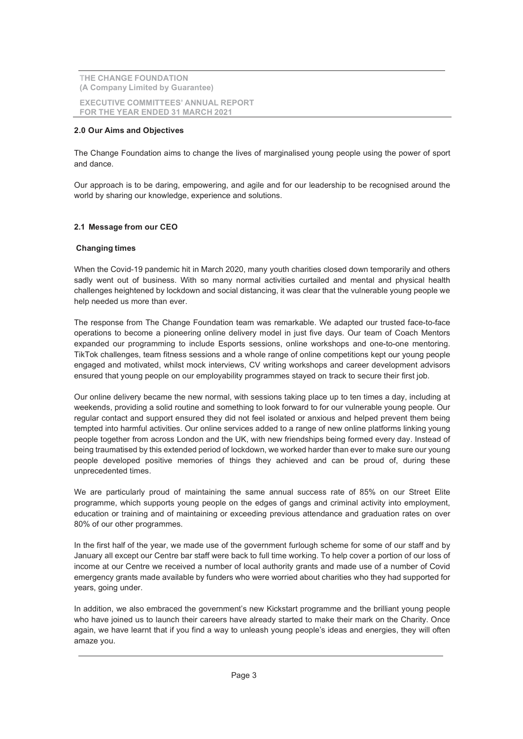EXECUTIVE COMMITTEES' ANNUAL REPORT FOR THE YEAR ENDED 31 MARCH 2021

### 2.0 Our Aims and Objectives

The Change Foundation aims to change the lives of marginalised young people using the power of sport and dance.

Our approach is to be daring, empowering, and agile and for our leadership to be recognised around the world by sharing our knowledge, experience and solutions.

# 2.1 Message from our CEO

# Changing times

When the Covid-19 pandemic hit in March 2020, many youth charities closed down temporarily and others sadly went out of business. With so many normal activities curtailed and mental and physical health challenges heightened by lockdown and social distancing, it was clear that the vulnerable young people we help needed us more than ever.

The response from The Change Foundation team was remarkable. We adapted our trusted face-to-face operations to become a pioneering online delivery model in just five days. Our team of Coach Mentors expanded our programming to include Esports sessions, online workshops and one-to-one mentoring. TikTok challenges, team fitness sessions and a whole range of online competitions kept our young people engaged and motivated, whilst mock interviews, CV writing workshops and career development advisors ensured that young people on our employability programmes stayed on track to secure their first job.

Our online delivery became the new normal, with sessions taking place up to ten times a day, including at weekends, providing a solid routine and something to look forward to for our vulnerable young people. Our regular contact and support ensured they did not feel isolated or anxious and helped prevent them being tempted into harmful activities. Our online services added to a range of new online platforms linking young people together from across London and the UK, with new friendships being formed every day. Instead of being traumatised by this extended period of lockdown, we worked harder than ever to make sure our young people developed positive memories of things they achieved and can be proud of, during these unprecedented times.

We are particularly proud of maintaining the same annual success rate of 85% on our Street Elite programme, which supports young people on the edges of gangs and criminal activity into employment, education or training and of maintaining or exceeding previous attendance and graduation rates on over 80% of our other programmes.

In the first half of the year, we made use of the government furlough scheme for some of our staff and by January all except our Centre bar staff were back to full time working. To help cover a portion of our loss of income at our Centre we received a number of local authority grants and made use of a number of Covid emergency grants made available by funders who were worried about charities who they had supported for years, going under.

In addition, we also embraced the government's new Kickstart programme and the brilliant young people who have joined us to launch their careers have already started to make their mark on the Charity. Once again, we have learnt that if you find a way to unleash young people's ideas and energies, they will often amaze you.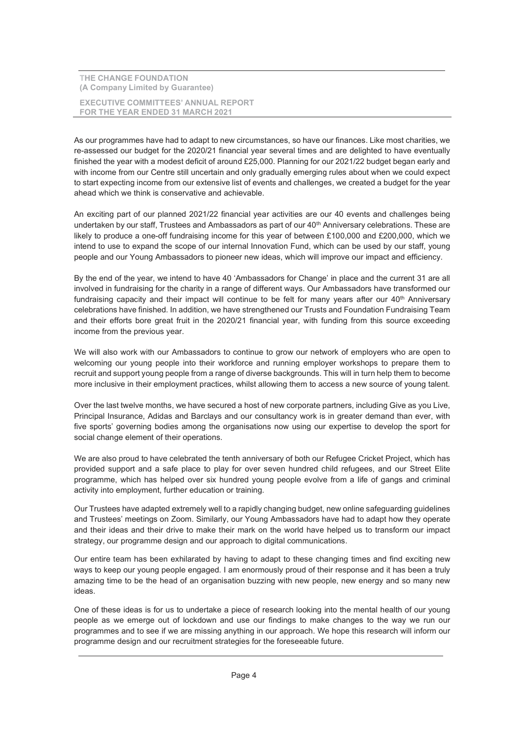### EXECUTIVE COMMITTEES' ANNUAL REPORT FOR THE YEAR ENDED 31 MARCH 2021

As our programmes have had to adapt to new circumstances, so have our finances. Like most charities, we re-assessed our budget for the 2020/21 financial year several times and are delighted to have eventually finished the year with a modest deficit of around £25,000. Planning for our 2021/22 budget began early and with income from our Centre still uncertain and only gradually emerging rules about when we could expect to start expecting income from our extensive list of events and challenges, we created a budget for the year ahead which we think is conservative and achievable.

An exciting part of our planned 2021/22 financial year activities are our 40 events and challenges being undertaken by our staff, Trustees and Ambassadors as part of our 40<sup>th</sup> Anniversary celebrations. These are likely to produce a one-off fundraising income for this year of between £100,000 and £200,000, which we intend to use to expand the scope of our internal Innovation Fund, which can be used by our staff, young people and our Young Ambassadors to pioneer new ideas, which will improve our impact and efficiency.

By the end of the year, we intend to have 40 'Ambassadors for Change' in place and the current 31 are all involved in fundraising for the charity in a range of different ways. Our Ambassadors have transformed our fundraising capacity and their impact will continue to be felt for many years after our 40<sup>th</sup> Anniversary celebrations have finished. In addition, we have strengthened our Trusts and Foundation Fundraising Team and their efforts bore great fruit in the 2020/21 financial year, with funding from this source exceeding income from the previous year.

We will also work with our Ambassadors to continue to grow our network of employers who are open to welcoming our young people into their workforce and running employer workshops to prepare them to recruit and support young people from a range of diverse backgrounds. This will in turn help them to become more inclusive in their employment practices, whilst allowing them to access a new source of young talent.

Over the last twelve months, we have secured a host of new corporate partners, including Give as you Live, Principal Insurance, Adidas and Barclays and our consultancy work is in greater demand than ever, with five sports' governing bodies among the organisations now using our expertise to develop the sport for social change element of their operations.

We are also proud to have celebrated the tenth anniversary of both our Refugee Cricket Project, which has provided support and a safe place to play for over seven hundred child refugees, and our Street Elite programme, which has helped over six hundred young people evolve from a life of gangs and criminal activity into employment, further education or training.

Our Trustees have adapted extremely well to a rapidly changing budget, new online safeguarding guidelines and Trustees' meetings on Zoom. Similarly, our Young Ambassadors have had to adapt how they operate and their ideas and their drive to make their mark on the world have helped us to transform our impact strategy, our programme design and our approach to digital communications.

Our entire team has been exhilarated by having to adapt to these changing times and find exciting new ways to keep our young people engaged. I am enormously proud of their response and it has been a truly amazing time to be the head of an organisation buzzing with new people, new energy and so many new ideas.

One of these ideas is for us to undertake a piece of research looking into the mental health of our young people as we emerge out of lockdown and use our findings to make changes to the way we run our programmes and to see if we are missing anything in our approach. We hope this research will inform our programme design and our recruitment strategies for the foreseeable future.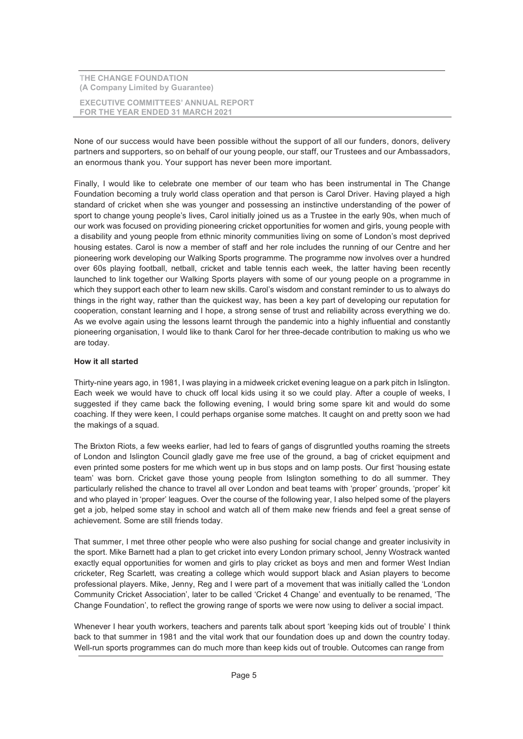EXECUTIVE COMMITTEES' ANNUAL REPORT FOR THE YEAR ENDED 31 MARCH 2021

None of our success would have been possible without the support of all our funders, donors, delivery partners and supporters, so on behalf of our young people, our staff, our Trustees and our Ambassadors, an enormous thank you. Your support has never been more important.

Finally, I would like to celebrate one member of our team who has been instrumental in The Change Foundation becoming a truly world class operation and that person is Carol Driver. Having played a high standard of cricket when she was younger and possessing an instinctive understanding of the power of sport to change young people's lives, Carol initially joined us as a Trustee in the early 90s, when much of our work was focused on providing pioneering cricket opportunities for women and girls, young people with a disability and young people from ethnic minority communities living on some of London's most deprived housing estates. Carol is now a member of staff and her role includes the running of our Centre and her pioneering work developing our Walking Sports programme. The programme now involves over a hundred over 60s playing football, netball, cricket and table tennis each week, the latter having been recently launched to link together our Walking Sports players with some of our young people on a programme in which they support each other to learn new skills. Carol's wisdom and constant reminder to us to always do things in the right way, rather than the quickest way, has been a key part of developing our reputation for cooperation, constant learning and I hope, a strong sense of trust and reliability across everything we do. As we evolve again using the lessons learnt through the pandemic into a highly influential and constantly pioneering organisation, I would like to thank Carol for her three-decade contribution to making us who we are today.

# How it all started

Thirty-nine years ago, in 1981, I was playing in a midweek cricket evening league on a park pitch in Islington. Each week we would have to chuck off local kids using it so we could play. After a couple of weeks, I suggested if they came back the following evening, I would bring some spare kit and would do some coaching. If they were keen, I could perhaps organise some matches. It caught on and pretty soon we had the makings of a squad.

The Brixton Riots, a few weeks earlier, had led to fears of gangs of disgruntled youths roaming the streets of London and Islington Council gladly gave me free use of the ground, a bag of cricket equipment and even printed some posters for me which went up in bus stops and on lamp posts. Our first 'housing estate team' was born. Cricket gave those young people from Islington something to do all summer. They particularly relished the chance to travel all over London and beat teams with 'proper' grounds, 'proper' kit and who played in 'proper' leagues. Over the course of the following year, I also helped some of the players get a job, helped some stay in school and watch all of them make new friends and feel a great sense of achievement. Some are still friends today.

That summer, I met three other people who were also pushing for social change and greater inclusivity in the sport. Mike Barnett had a plan to get cricket into every London primary school, Jenny Wostrack wanted exactly equal opportunities for women and girls to play cricket as boys and men and former West Indian cricketer, Reg Scarlett, was creating a college which would support black and Asian players to become professional players. Mike, Jenny, Reg and I were part of a movement that was initially called the 'London Community Cricket Association', later to be called 'Cricket 4 Change' and eventually to be renamed, 'The Change Foundation', to reflect the growing range of sports we were now using to deliver a social impact.

Whenever I hear youth workers, teachers and parents talk about sport 'keeping kids out of trouble' I think back to that summer in 1981 and the vital work that our foundation does up and down the country today. Well-run sports programmes can do much more than keep kids out of trouble. Outcomes can range from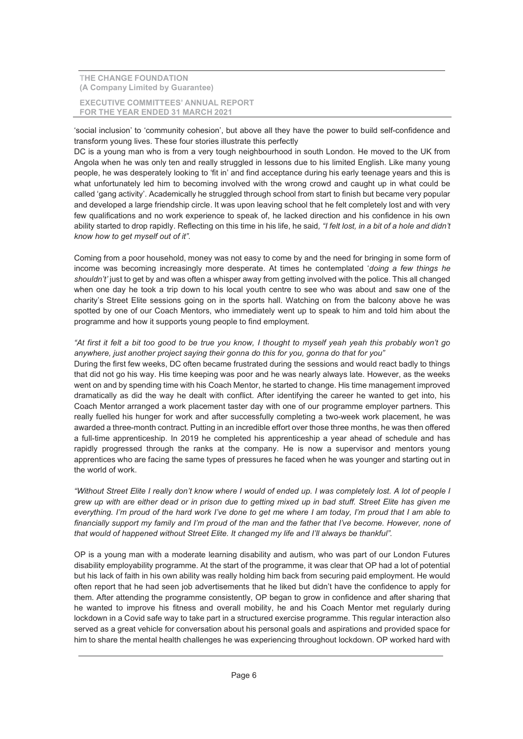#### EXECUTIVE COMMITTEES' ANNUAL REPORT FOR THE YEAR ENDED 31 MARCH 2021

'social inclusion' to 'community cohesion', but above all they have the power to build self-confidence and transform young lives. These four stories illustrate this perfectly

DC is a young man who is from a very tough neighbourhood in south London. He moved to the UK from Angola when he was only ten and really struggled in lessons due to his limited English. Like many young people, he was desperately looking to 'fit in' and find acceptance during his early teenage years and this is what unfortunately led him to becoming involved with the wrong crowd and caught up in what could be called 'gang activity'. Academically he struggled through school from start to finish but became very popular and developed a large friendship circle. It was upon leaving school that he felt completely lost and with very few qualifications and no work experience to speak of, he lacked direction and his confidence in his own ability started to drop rapidly. Reflecting on this time in his life, he said, "I felt lost, in a bit of a hole and didn't know how to get myself out of it".

Coming from a poor household, money was not easy to come by and the need for bringing in some form of income was becoming increasingly more desperate. At times he contemplated 'doing a few things he shouldn't' just to get by and was often a whisper away from getting involved with the police. This all changed when one day he took a trip down to his local youth centre to see who was about and saw one of the charity's Street Elite sessions going on in the sports hall. Watching on from the balcony above he was spotted by one of our Coach Mentors, who immediately went up to speak to him and told him about the programme and how it supports young people to find employment.

"At first it felt a bit too good to be true you know, I thought to myself yeah yeah this probably won't go anywhere, just another project saying their gonna do this for you, gonna do that for you"

During the first few weeks, DC often became frustrated during the sessions and would react badly to things that did not go his way. His time keeping was poor and he was nearly always late. However, as the weeks went on and by spending time with his Coach Mentor, he started to change. His time management improved dramatically as did the way he dealt with conflict. After identifying the career he wanted to get into, his Coach Mentor arranged a work placement taster day with one of our programme employer partners. This really fuelled his hunger for work and after successfully completing a two-week work placement, he was awarded a three-month contract. Putting in an incredible effort over those three months, he was then offered a full-time apprenticeship. In 2019 he completed his apprenticeship a year ahead of schedule and has rapidly progressed through the ranks at the company. He is now a supervisor and mentors young apprentices who are facing the same types of pressures he faced when he was younger and starting out in the world of work.

"Without Street Elite I really don't know where I would of ended up. I was completely lost. A lot of people I grew up with are either dead or in prison due to getting mixed up in bad stuff. Street Elite has given me everything. I'm proud of the hard work I've done to get me where I am today, I'm proud that I am able to financially support my family and I'm proud of the man and the father that I've become. However, none of that would of happened without Street Elite. It changed my life and I'll always be thankful".

OP is a young man with a moderate learning disability and autism, who was part of our London Futures disability employability programme. At the start of the programme, it was clear that OP had a lot of potential but his lack of faith in his own ability was really holding him back from securing paid employment. He would often report that he had seen job advertisements that he liked but didn't have the confidence to apply for them. After attending the programme consistently, OP began to grow in confidence and after sharing that he wanted to improve his fitness and overall mobility, he and his Coach Mentor met regularly during lockdown in a Covid safe way to take part in a structured exercise programme. This regular interaction also served as a great vehicle for conversation about his personal goals and aspirations and provided space for him to share the mental health challenges he was experiencing throughout lockdown. OP worked hard with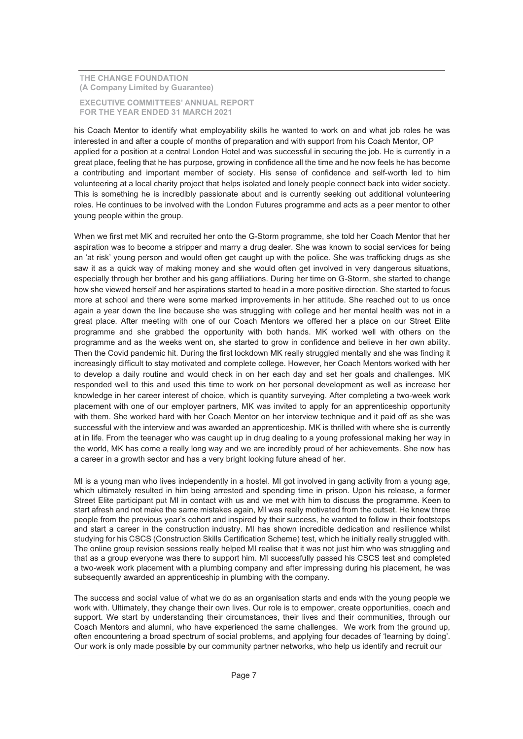his Coach Mentor to identify what employability skills he wanted to work on and what job roles he was interested in and after a couple of months of preparation and with support from his Coach Mentor, OP applied for a position at a central London Hotel and was successful in securing the job. He is currently in a great place, feeling that he has purpose, growing in confidence all the time and he now feels he has become a contributing and important member of society. His sense of confidence and self-worth led to him volunteering at a local charity project that helps isolated and lonely people connect back into wider society. This is something he is incredibly passionate about and is currently seeking out additional volunteering roles. He continues to be involved with the London Futures programme and acts as a peer mentor to other young people within the group.

When we first met MK and recruited her onto the G-Storm programme, she told her Coach Mentor that her aspiration was to become a stripper and marry a drug dealer. She was known to social services for being an 'at risk' young person and would often get caught up with the police. She was trafficking drugs as she saw it as a quick way of making money and she would often get involved in very dangerous situations, especially through her brother and his gang affiliations. During her time on G-Storm, she started to change how she viewed herself and her aspirations started to head in a more positive direction. She started to focus more at school and there were some marked improvements in her attitude. She reached out to us once again a year down the line because she was struggling with college and her mental health was not in a great place. After meeting with one of our Coach Mentors we offered her a place on our Street Elite programme and she grabbed the opportunity with both hands. MK worked well with others on the programme and as the weeks went on, she started to grow in confidence and believe in her own ability. Then the Covid pandemic hit. During the first lockdown MK really struggled mentally and she was finding it increasingly difficult to stay motivated and complete college. However, her Coach Mentors worked with her to develop a daily routine and would check in on her each day and set her goals and challenges. MK responded well to this and used this time to work on her personal development as well as increase her knowledge in her career interest of choice, which is quantity surveying. After completing a two-week work placement with one of our employer partners, MK was invited to apply for an apprenticeship opportunity with them. She worked hard with her Coach Mentor on her interview technique and it paid off as she was successful with the interview and was awarded an apprenticeship. MK is thrilled with where she is currently at in life. From the teenager who was caught up in drug dealing to a young professional making her way in the world, MK has come a really long way and we are incredibly proud of her achievements. She now has a career in a growth sector and has a very bright looking future ahead of her.

MI is a young man who lives independently in a hostel. MI got involved in gang activity from a young age, which ultimately resulted in him being arrested and spending time in prison. Upon his release, a former Street Elite participant put MI in contact with us and we met with him to discuss the programme. Keen to start afresh and not make the same mistakes again, MI was really motivated from the outset. He knew three people from the previous year's cohort and inspired by their success, he wanted to follow in their footsteps and start a career in the construction industry. MI has shown incredible dedication and resilience whilst studying for his CSCS (Construction Skills Certification Scheme) test, which he initially really struggled with. The online group revision sessions really helped MI realise that it was not just him who was struggling and that as a group everyone was there to support him. MI successfully passed his CSCS test and completed a two-week work placement with a plumbing company and after impressing during his placement, he was subsequently awarded an apprenticeship in plumbing with the company.

The success and social value of what we do as an organisation starts and ends with the young people we work with. Ultimately, they change their own lives. Our role is to empower, create opportunities, coach and support. We start by understanding their circumstances, their lives and their communities, through our Coach Mentors and alumni, who have experienced the same challenges. We work from the ground up, often encountering a broad spectrum of social problems, and applying four decades of 'learning by doing'. Our work is only made possible by our community partner networks, who help us identify and recruit our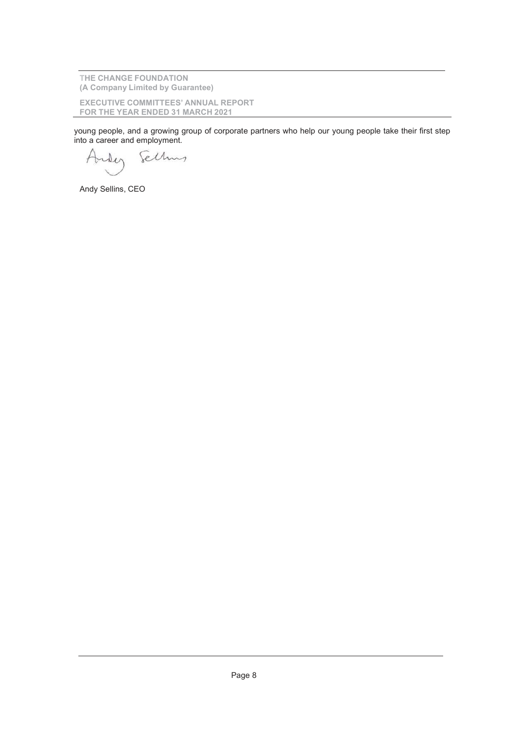EXECUTIVE COMMITTEES' ANNUAL REPORT FOR THE YEAR ENDED 31 MARCH 2021

young people, and a growing group of corporate partners who help our young people take their first step into a career and employment.

Selho  $\sqrt{ }$ Ser

Andy Sellins, CEO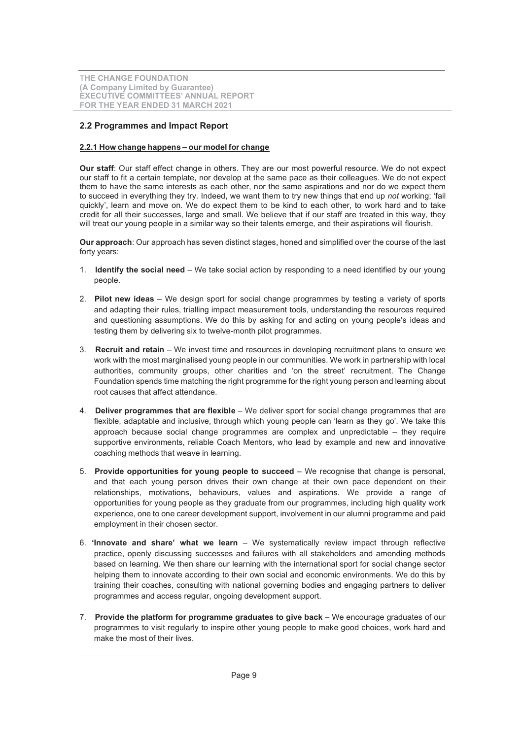# 2.2 Programmes and Impact Report

# 2.2.1 How change happens – our model for change

Our staff: Our staff effect change in others. They are our most powerful resource. We do not expect our staff to fit a certain template, nor develop at the same pace as their colleagues. We do not expect them to have the same interests as each other, nor the same aspirations and nor do we expect them to succeed in everything they try. Indeed, we want them to try new things that end up not working; 'fail quickly', learn and move on. We do expect them to be kind to each other, to work hard and to take credit for all their successes, large and small. We believe that if our staff are treated in this way, they will treat our young people in a similar way so their talents emerge, and their aspirations will flourish.

Our approach: Our approach has seven distinct stages, honed and simplified over the course of the last forty years:

- 1. **Identify the social need** We take social action by responding to a need identified by our young people.
- 2. Pilot new ideas We design sport for social change programmes by testing a variety of sports and adapting their rules, trialling impact measurement tools, understanding the resources required and questioning assumptions. We do this by asking for and acting on young people's ideas and testing them by delivering six to twelve-month pilot programmes.
- 3. Recruit and retain We invest time and resources in developing recruitment plans to ensure we work with the most marginalised young people in our communities. We work in partnership with local authorities, community groups, other charities and 'on the street' recruitment. The Change Foundation spends time matching the right programme for the right young person and learning about root causes that affect attendance.
- 4. Deliver programmes that are flexible We deliver sport for social change programmes that are flexible, adaptable and inclusive, through which young people can 'learn as they go'. We take this approach because social change programmes are complex and unpredictable – they require supportive environments, reliable Coach Mentors, who lead by example and new and innovative coaching methods that weave in learning.
- 5. Provide opportunities for young people to succeed We recognise that change is personal, and that each young person drives their own change at their own pace dependent on their relationships, motivations, behaviours, values and aspirations. We provide a range of opportunities for young people as they graduate from our programmes, including high quality work experience, one to one career development support, involvement in our alumni programme and paid employment in their chosen sector.
- 6. 'Innovate and share' what we learn  $-$  We systematically review impact through reflective practice, openly discussing successes and failures with all stakeholders and amending methods based on learning. We then share our learning with the international sport for social change sector helping them to innovate according to their own social and economic environments. We do this by training their coaches, consulting with national governing bodies and engaging partners to deliver programmes and access regular, ongoing development support.
- 7. Provide the platform for programme graduates to give back We encourage graduates of our programmes to visit regularly to inspire other young people to make good choices, work hard and make the most of their lives.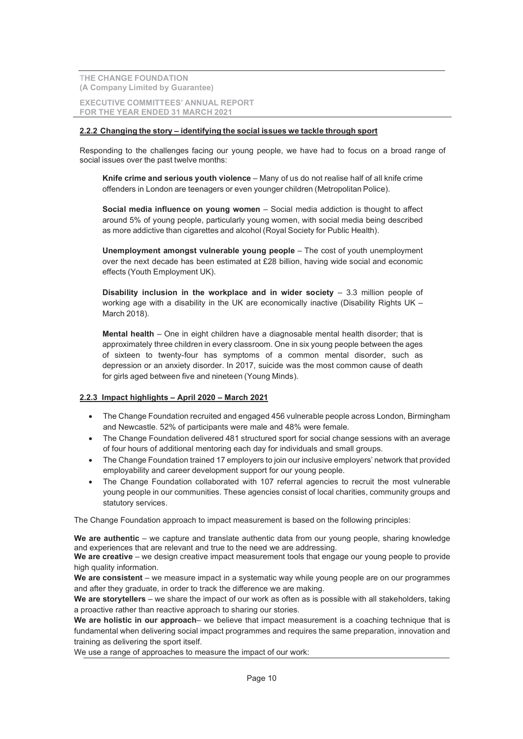EXECUTIVE COMMITTEES' ANNUAL REPORT FOR THE YEAR ENDED 31 MARCH 2021

### 2.2.2 Changing the story – identifying the social issues we tackle through sport

Responding to the challenges facing our young people, we have had to focus on a broad range of social issues over the past twelve months:

Knife crime and serious youth violence – Many of us do not realise half of all knife crime offenders in London are teenagers or even younger children (Metropolitan Police).

Social media influence on young women – Social media addiction is thought to affect around 5% of young people, particularly young women, with social media being described as more addictive than cigarettes and alcohol (Royal Society for Public Health).

Unemployment amongst vulnerable young people – The cost of youth unemployment over the next decade has been estimated at £28 billion, having wide social and economic effects (Youth Employment UK).

Disability inclusion in the workplace and in wider society  $-3.3$  million people of working age with a disability in the UK are economically inactive (Disability Rights UK – March 2018).

Mental health – One in eight children have a diagnosable mental health disorder; that is approximately three children in every classroom. One in six young people between the ages of sixteen to twenty-four has symptoms of a common mental disorder, such as depression or an anxiety disorder. In 2017, suicide was the most common cause of death for girls aged between five and nineteen (Young Minds).

# 2.2.3 Impact highlights – April 2020 – March 2021

- · The Change Foundation recruited and engaged 456 vulnerable people across London, Birmingham and Newcastle. 52% of participants were male and 48% were female.
- · The Change Foundation delivered 481 structured sport for social change sessions with an average of four hours of additional mentoring each day for individuals and small groups.
- · The Change Foundation trained 17 employers to join our inclusive employers' network that provided employability and career development support for our young people.
- The Change Foundation collaborated with 107 referral agencies to recruit the most vulnerable young people in our communities. These agencies consist of local charities, community groups and statutory services.

The Change Foundation approach to impact measurement is based on the following principles:

We are authentic – we capture and translate authentic data from our young people, sharing knowledge and experiences that are relevant and true to the need we are addressing.

We are creative – we design creative impact measurement tools that engage our young people to provide high quality information.

We are consistent – we measure impact in a systematic way while young people are on our programmes and after they graduate, in order to track the difference we are making.

We are storytellers – we share the impact of our work as often as is possible with all stakeholders, taking a proactive rather than reactive approach to sharing our stories.

We are holistic in our approach– we believe that impact measurement is a coaching technique that is fundamental when delivering social impact programmes and requires the same preparation, innovation and training as delivering the sport itself.

We use a range of approaches to measure the impact of our work: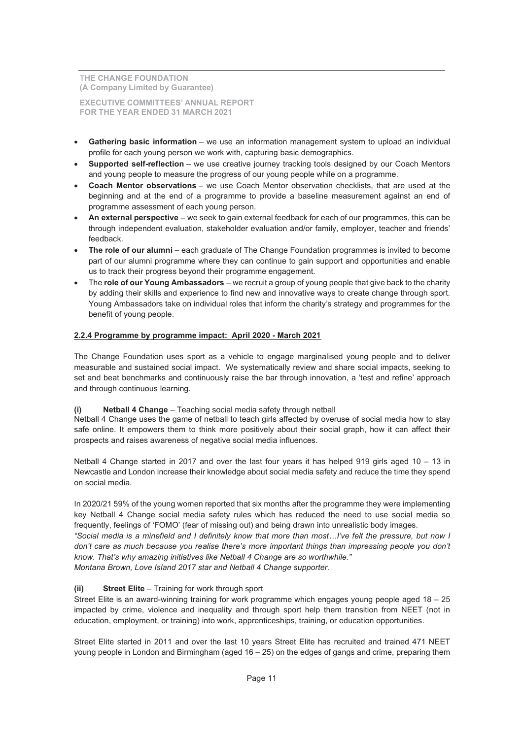EXECUTIVE COMMITTEES' ANNUAL REPORT FOR THE YEAR ENDED 31 MARCH 2021

- Gathering basic information we use an information management system to upload an individual profile for each young person we work with, capturing basic demographics.
- **Supported self-reflection** we use creative journey tracking tools designed by our Coach Mentors and young people to measure the progress of our young people while on a programme.
- **Coach Mentor observations** we use Coach Mentor observation checklists, that are used at the beginning and at the end of a programme to provide a baseline measurement against an end of programme assessment of each young person.
- An external perspective we seek to gain external feedback for each of our programmes, this can be through independent evaluation, stakeholder evaluation and/or family, employer, teacher and friends' feedback.
- The role of our alumni each graduate of The Change Foundation programmes is invited to become part of our alumni programme where they can continue to gain support and opportunities and enable us to track their progress beyond their programme engagement.
- The role of our Young Ambassadors we recruit a group of young people that give back to the charity by adding their skills and experience to find new and innovative ways to create change through sport. Young Ambassadors take on individual roles that inform the charity's strategy and programmes for the benefit of young people.

# 2.2.4 Programme by programme impact: April 2020 - March 2021

The Change Foundation uses sport as a vehicle to engage marginalised young people and to deliver measurable and sustained social impact. We systematically review and share social impacts, seeking to set and beat benchmarks and continuously raise the bar through innovation, a 'test and refine' approach and through continuous learning.

# Netball 4 Change – Teaching social media safety through netball

Netball 4 Change uses the game of netball to teach girls affected by overuse of social media how to stay safe online. It empowers them to think more positively about their social graph, how it can affect their prospects and raises awareness of negative social media influences.

Netball 4 Change started in 2017 and over the last four years it has helped 919 girls aged 10 – 13 in Newcastle and London increase their knowledge about social media safety and reduce the time they spend on social media.

In 2020/21 59% of the young women reported that six months after the programme they were implementing key Netball 4 Change social media safety rules which has reduced the need to use social media so frequently, feelings of 'FOMO' (fear of missing out) and being drawn into unrealistic body images. "Social media is a minefield and I definitely know that more than most…I've felt the pressure, but now I

don't care as much because you realise there's more important things than impressing people you don't know. That's why amazing initiatives like Netball 4 Change are so worthwhile." Montana Brown, Love Island 2017 star and Netball 4 Change supporter.

# (ii) Street Elite – Training for work through sport

Street Elite is an award-winning training for work programme which engages young people aged 18 – 25 impacted by crime, violence and inequality and through sport help them transition from NEET (not in education, employment, or training) into work, apprenticeships, training, or education opportunities.

Street Elite started in 2011 and over the last 10 years Street Elite has recruited and trained 471 NEET young people in London and Birmingham (aged 16 – 25) on the edges of gangs and crime, preparing them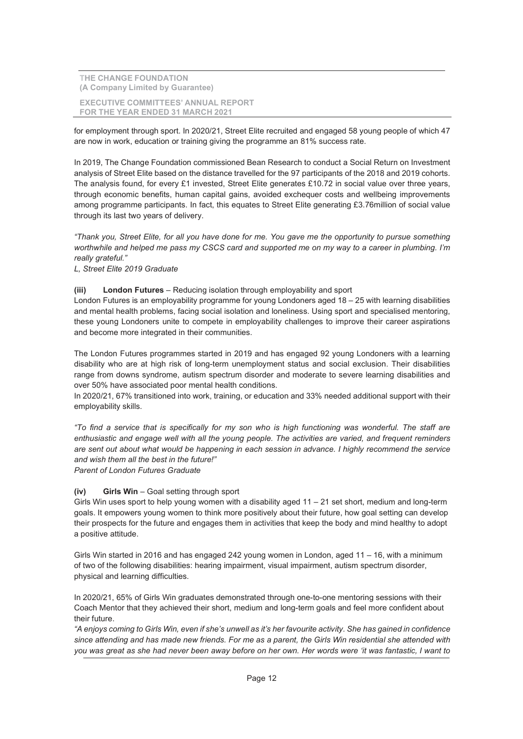EXECUTIVE COMMITTEES' ANNUAL REPORT FOR THE YEAR ENDED 31 MARCH 2021

for employment through sport. In 2020/21, Street Elite recruited and engaged 58 young people of which 47 are now in work, education or training giving the programme an 81% success rate.

In 2019, The Change Foundation commissioned Bean Research to conduct a Social Return on Investment analysis of Street Elite based on the distance travelled for the 97 participants of the 2018 and 2019 cohorts. The analysis found, for every £1 invested, Street Elite generates £10.72 in social value over three years, through economic benefits, human capital gains, avoided exchequer costs and wellbeing improvements among programme participants. In fact, this equates to Street Elite generating £3.76million of social value through its last two years of delivery.

"Thank you, Street Elite, for all you have done for me. You gave me the opportunity to pursue something worthwhile and helped me pass my CSCS card and supported me on my way to a career in plumbing. I'm really grateful."

L, Street Elite 2019 Graduate

### (iii) London Futures – Reducing isolation through employability and sport

London Futures is an employability programme for young Londoners aged 18 – 25 with learning disabilities and mental health problems, facing social isolation and loneliness. Using sport and specialised mentoring, these young Londoners unite to compete in employability challenges to improve their career aspirations and become more integrated in their communities.

The London Futures programmes started in 2019 and has engaged 92 young Londoners with a learning disability who are at high risk of long-term unemployment status and social exclusion. Their disabilities range from downs syndrome, autism spectrum disorder and moderate to severe learning disabilities and over 50% have associated poor mental health conditions.

In 2020/21, 67% transitioned into work, training, or education and 33% needed additional support with their employability skills.

"To find a service that is specifically for my son who is high functioning was wonderful. The staff are enthusiastic and engage well with all the young people. The activities are varied, and frequent reminders are sent out about what would be happening in each session in advance. I highly recommend the service and wish them all the best in the future!"

Parent of London Futures Graduate

# (iv) Girls Win – Goal setting through sport

Girls Win uses sport to help young women with a disability aged  $11 - 21$  set short, medium and long-term goals. It empowers young women to think more positively about their future, how goal setting can develop their prospects for the future and engages them in activities that keep the body and mind healthy to adopt a positive attitude.

Girls Win started in 2016 and has engaged 242 young women in London, aged 11 – 16, with a minimum of two of the following disabilities: hearing impairment, visual impairment, autism spectrum disorder, physical and learning difficulties.

In 2020/21, 65% of Girls Win graduates demonstrated through one-to-one mentoring sessions with their Coach Mentor that they achieved their short, medium and long-term goals and feel more confident about their future.

"A enjoys coming to Girls Win, even if she's unwell as it's her favourite activity. She has gained in confidence since attending and has made new friends. For me as a parent, the Girls Win residential she attended with you was great as she had never been away before on her own. Her words were 'it was fantastic, I want to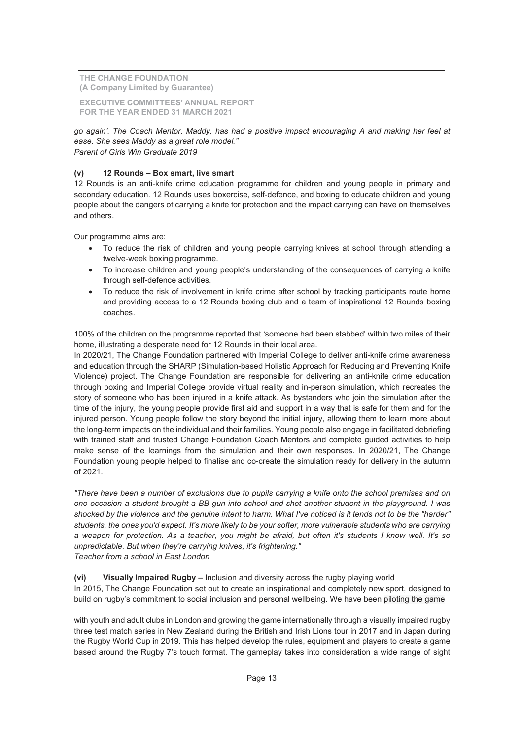EXECUTIVE COMMITTEES' ANNUAL REPORT FOR THE YEAR ENDED 31 MARCH 2021

go again'. The Coach Mentor, Maddy, has had a positive impact encouraging A and making her feel at ease. She sees Maddy as a great role model." Parent of Girls Win Graduate 2019

# (v) 12 Rounds – Box smart, live smart

12 Rounds is an anti-knife crime education programme for children and young people in primary and secondary education. 12 Rounds uses boxercise, self-defence, and boxing to educate children and young people about the dangers of carrying a knife for protection and the impact carrying can have on themselves and others.

Our programme aims are:

- · To reduce the risk of children and young people carrying knives at school through attending a twelve-week boxing programme.
- · To increase children and young people's understanding of the consequences of carrying a knife through self-defence activities.
- To reduce the risk of involvement in knife crime after school by tracking participants route home and providing access to a 12 Rounds boxing club and a team of inspirational 12 Rounds boxing coaches.

100% of the children on the programme reported that 'someone had been stabbed' within two miles of their home, illustrating a desperate need for 12 Rounds in their local area.

In 2020/21, The Change Foundation partnered with Imperial College to deliver anti-knife crime awareness and education through the SHARP (Simulation-based Holistic Approach for Reducing and Preventing Knife Violence) project. The Change Foundation are responsible for delivering an anti-knife crime education through boxing and Imperial College provide virtual reality and in-person simulation, which recreates the story of someone who has been injured in a knife attack. As bystanders who join the simulation after the time of the injury, the young people provide first aid and support in a way that is safe for them and for the injured person. Young people follow the story beyond the initial injury, allowing them to learn more about the long-term impacts on the individual and their families. Young people also engage in facilitated debriefing with trained staff and trusted Change Foundation Coach Mentors and complete guided activities to help make sense of the learnings from the simulation and their own responses. In 2020/21, The Change Foundation young people helped to finalise and co-create the simulation ready for delivery in the autumn of 2021.

"There have been a number of exclusions due to pupils carrying a knife onto the school premises and on one occasion a student brought a BB gun into school and shot another student in the playground. I was shocked by the violence and the genuine intent to harm. What I've noticed is it tends not to be the "harder" students, the ones you'd expect. It's more likely to be your softer, more vulnerable students who are carrying a weapon for protection. As a teacher, you might be afraid, but often it's students I know well. It's so unpredictable. But when they're carrying knives, it's frightening." Teacher from a school in East London

# (vi) Visually Impaired Rugby – Inclusion and diversity across the rugby playing world

In 2015, The Change Foundation set out to create an inspirational and completely new sport, designed to build on rugby's commitment to social inclusion and personal wellbeing. We have been piloting the game

with youth and adult clubs in London and growing the game internationally through a visually impaired rugby three test match series in New Zealand during the British and Irish Lions tour in 2017 and in Japan during the Rugby World Cup in 2019. This has helped develop the rules, equipment and players to create a game based around the Rugby 7's touch format. The gameplay takes into consideration a wide range of sight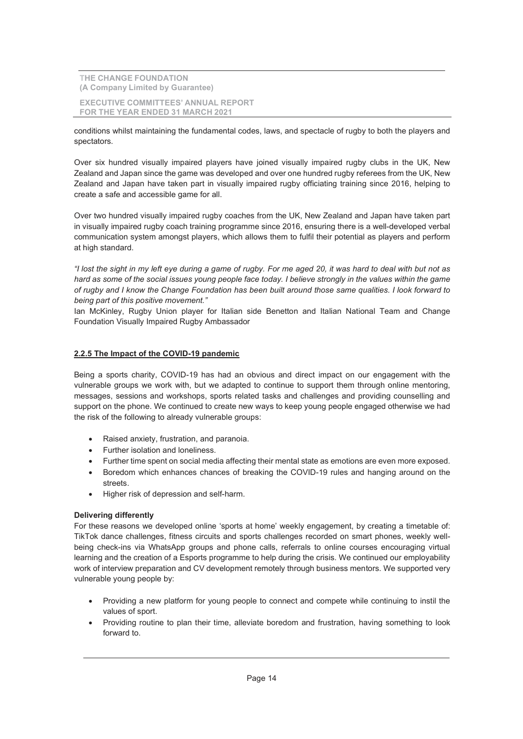EXECUTIVE COMMITTEES' ANNUAL REPORT FOR THE YEAR ENDED 31 MARCH 2021

conditions whilst maintaining the fundamental codes, laws, and spectacle of rugby to both the players and spectators.

Over six hundred visually impaired players have joined visually impaired rugby clubs in the UK, New Zealand and Japan since the game was developed and over one hundred rugby referees from the UK, New Zealand and Japan have taken part in visually impaired rugby officiating training since 2016, helping to create a safe and accessible game for all.

Over two hundred visually impaired rugby coaches from the UK, New Zealand and Japan have taken part in visually impaired rugby coach training programme since 2016, ensuring there is a well-developed verbal communication system amongst players, which allows them to fulfil their potential as players and perform at high standard.

"I lost the sight in my left eye during a game of rugby. For me aged 20, it was hard to deal with but not as hard as some of the social issues young people face today. I believe strongly in the values within the game of rugby and I know the Change Foundation has been built around those same qualities. I look forward to being part of this positive movement."

Ian McKinley, Rugby Union player for Italian side Benetton and Italian National Team and Change Foundation Visually Impaired Rugby Ambassador

# 2.2.5 The Impact of the COVID-19 pandemic

Being a sports charity, COVID-19 has had an obvious and direct impact on our engagement with the vulnerable groups we work with, but we adapted to continue to support them through online mentoring, messages, sessions and workshops, sports related tasks and challenges and providing counselling and support on the phone. We continued to create new ways to keep young people engaged otherwise we had the risk of the following to already vulnerable groups:

- Raised anxiety, frustration, and paranoia.
- Further isolation and loneliness.
- Further time spent on social media affecting their mental state as emotions are even more exposed.
- · Boredom which enhances chances of breaking the COVID-19 rules and hanging around on the streets.
- · Higher risk of depression and self-harm.

# Delivering differently

For these reasons we developed online 'sports at home' weekly engagement, by creating a timetable of: TikTok dance challenges, fitness circuits and sports challenges recorded on smart phones, weekly wellbeing check-ins via WhatsApp groups and phone calls, referrals to online courses encouraging virtual learning and the creation of a Esports programme to help during the crisis. We continued our employability work of interview preparation and CV development remotely through business mentors. We supported very vulnerable young people by:

- · Providing a new platform for young people to connect and compete while continuing to instil the values of sport.
- Providing routine to plan their time, alleviate boredom and frustration, having something to look forward to.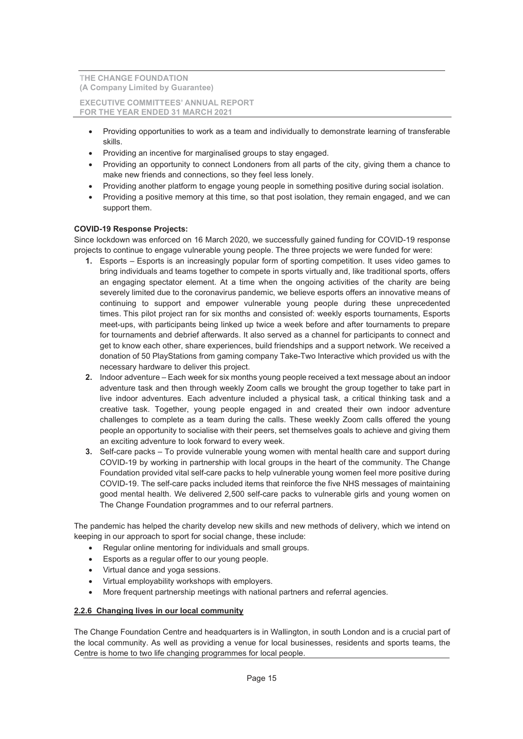### EXECUTIVE COMMITTEES' ANNUAL REPORT FOR THE YEAR ENDED 31 MARCH 2021

- · Providing opportunities to work as a team and individually to demonstrate learning of transferable skills.
- · Providing an incentive for marginalised groups to stay engaged.
- · Providing an opportunity to connect Londoners from all parts of the city, giving them a chance to make new friends and connections, so they feel less lonely.
- · Providing another platform to engage young people in something positive during social isolation.
- Providing a positive memory at this time, so that post isolation, they remain engaged, and we can support them.

# COVID-19 Response Projects:

Since lockdown was enforced on 16 March 2020, we successfully gained funding for COVID-19 response projects to continue to engage vulnerable young people. The three projects we were funded for were:

- 1. Esports Esports is an increasingly popular form of sporting competition. It uses video games to bring individuals and teams together to compete in sports virtually and, like traditional sports, offers an engaging spectator element. At a time when the ongoing activities of the charity are being severely limited due to the coronavirus pandemic, we believe esports offers an innovative means of continuing to support and empower vulnerable young people during these unprecedented times. This pilot project ran for six months and consisted of: weekly esports tournaments, Esports meet-ups, with participants being linked up twice a week before and after tournaments to prepare for tournaments and debrief afterwards. It also served as a channel for participants to connect and get to know each other, share experiences, build friendships and a support network. We received a donation of 50 PlayStations from gaming company Take-Two Interactive which provided us with the necessary hardware to deliver this project.
- 2. Indoor adventure Each week for six months young people received a text message about an indoor adventure task and then through weekly Zoom calls we brought the group together to take part in live indoor adventures. Each adventure included a physical task, a critical thinking task and a creative task. Together, young people engaged in and created their own indoor adventure challenges to complete as a team during the calls. These weekly Zoom calls offered the young people an opportunity to socialise with their peers, set themselves goals to achieve and giving them an exciting adventure to look forward to every week.
- 3. Self-care packs To provide vulnerable young women with mental health care and support during COVID-19 by working in partnership with local groups in the heart of the community. The Change Foundation provided vital self-care packs to help vulnerable young women feel more positive during COVID-19. The self-care packs included items that reinforce the five NHS messages of maintaining good mental health. We delivered 2,500 self-care packs to vulnerable girls and young women on The Change Foundation programmes and to our referral partners.

The pandemic has helped the charity develop new skills and new methods of delivery, which we intend on keeping in our approach to sport for social change, these include:

- · Regular online mentoring for individuals and small groups.
- Esports as a regular offer to our young people.
- Virtual dance and yoga sessions.
- Virtual employability workshops with employers.
- · More frequent partnership meetings with national partners and referral agencies.

# 2.2.6 Changing lives in our local community

The Change Foundation Centre and headquarters is in Wallington, in south London and is a crucial part of the local community. As well as providing a venue for local businesses, residents and sports teams, the Centre is home to two life changing programmes for local people.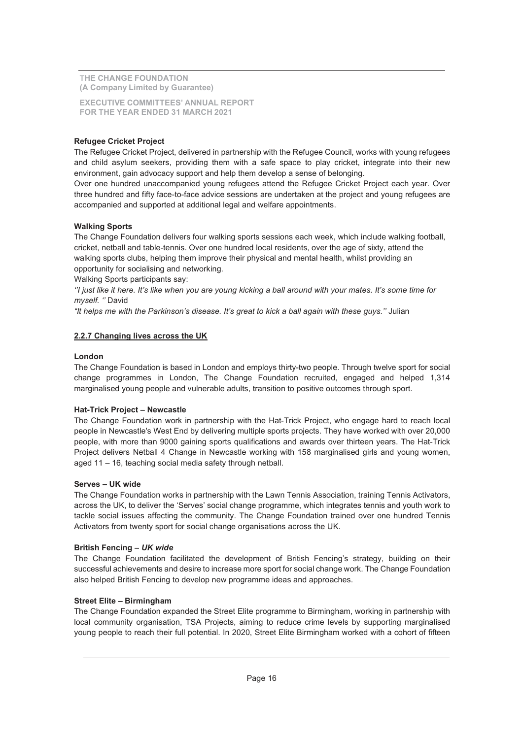EXECUTIVE COMMITTEES' ANNUAL REPORT FOR THE YEAR ENDED 31 MARCH 2021

# Refugee Cricket Project

The Refugee Cricket Project, delivered in partnership with the Refugee Council, works with young refugees and child asylum seekers, providing them with a safe space to play cricket, integrate into their new environment, gain advocacy support and help them develop a sense of belonging.

Over one hundred unaccompanied young refugees attend the Refugee Cricket Project each year. Over three hundred and fifty face-to-face advice sessions are undertaken at the project and young refugees are accompanied and supported at additional legal and welfare appointments.

# Walking Sports

The Change Foundation delivers four walking sports sessions each week, which include walking football, cricket, netball and table-tennis. Over one hundred local residents, over the age of sixty, attend the walking sports clubs, helping them improve their physical and mental health, whilst providing an opportunity for socialising and networking.

Walking Sports participants say:

''I just like it here. It's like when you are young kicking a ball around with your mates. It's some time for myself. '' David

"It helps me with the Parkinson's disease. It's great to kick a ball again with these guys.'' Julian

# 2.2.7 Changing lives across the UK

# London

The Change Foundation is based in London and employs thirty-two people. Through twelve sport for social change programmes in London, The Change Foundation recruited, engaged and helped 1,314 marginalised young people and vulnerable adults, transition to positive outcomes through sport.

# Hat-Trick Project – Newcastle

The Change Foundation work in partnership with the Hat-Trick Project, who engage hard to reach local people in Newcastle's West End by delivering multiple sports projects. They have worked with over 20,000 people, with more than 9000 gaining sports qualifications and awards over thirteen years. The Hat-Trick Project delivers Netball 4 Change in Newcastle working with 158 marginalised girls and young women, aged 11 – 16, teaching social media safety through netball.

# Serves – UK wide

The Change Foundation works in partnership with the Lawn Tennis Association, training Tennis Activators, across the UK, to deliver the 'Serves' social change programme, which integrates tennis and youth work to tackle social issues affecting the community. The Change Foundation trained over one hundred Tennis Activators from twenty sport for social change organisations across the UK.

# British Fencing – UK wide

The Change Foundation facilitated the development of British Fencing's strategy, building on their successful achievements and desire to increase more sport for social change work. The Change Foundation also helped British Fencing to develop new programme ideas and approaches.

# Street Elite – Birmingham

The Change Foundation expanded the Street Elite programme to Birmingham, working in partnership with local community organisation, TSA Projects, aiming to reduce crime levels by supporting marginalised young people to reach their full potential. In 2020, Street Elite Birmingham worked with a cohort of fifteen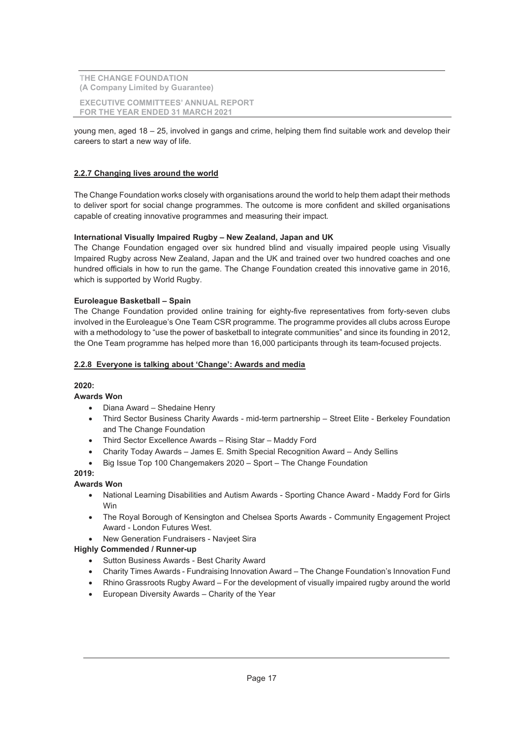EXECUTIVE COMMITTEES' ANNUAL REPORT FOR THE YEAR ENDED 31 MARCH 2021

young men, aged 18 – 25, involved in gangs and crime, helping them find suitable work and develop their careers to start a new way of life.

# 2.2.7 Changing lives around the world

The Change Foundation works closely with organisations around the world to help them adapt their methods to deliver sport for social change programmes. The outcome is more confident and skilled organisations capable of creating innovative programmes and measuring their impact.

# International Visually Impaired Rugby – New Zealand, Japan and UK

The Change Foundation engaged over six hundred blind and visually impaired people using Visually Impaired Rugby across New Zealand, Japan and the UK and trained over two hundred coaches and one hundred officials in how to run the game. The Change Foundation created this innovative game in 2016, which is supported by World Rugby.

# Euroleague Basketball – Spain

The Change Foundation provided online training for eighty-five representatives from forty-seven clubs involved in the Euroleague's One Team CSR programme. The programme provides all clubs across Europe with a methodology to "use the power of basketball to integrate communities" and since its founding in 2012, the One Team programme has helped more than 16,000 participants through its team-focused projects.

# 2.2.8 Everyone is talking about 'Change': Awards and media

# 2020:

# Awards Won

- · Diana Award Shedaine Henry
- · Third Sector Business Charity Awards mid-term partnership Street Elite Berkeley Foundation and The Change Foundation
- · Third Sector Excellence Awards Rising Star Maddy Ford
- · Charity Today Awards James E. Smith Special Recognition Award Andy Sellins
- Big Issue Top 100 Changemakers 2020 Sport The Change Foundation

# 2019:

# Awards Won

- · National Learning Disabilities and Autism Awards Sporting Chance Award Maddy Ford for Girls Win
- · The Royal Borough of Kensington and Chelsea Sports Awards Community Engagement Project Award - London Futures West.
- · New Generation Fundraisers Navjeet Sira

# Highly Commended / Runner-up

- · Sutton Business Awards Best Charity Award
- · Charity Times Awards Fundraising Innovation Award The Change Foundation's Innovation Fund
- · Rhino Grassroots Rugby Award For the development of visually impaired rugby around the world
- European Diversity Awards Charity of the Year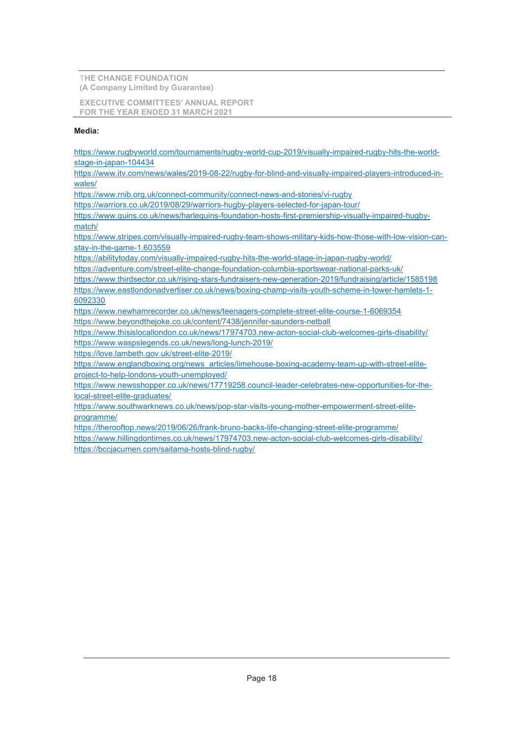EXECUTIVE COMMITTEES' ANNUAL REPORT FOR THE YEAR ENDED 31 MARCH 2021

# Media:

https://www.rugbyworld.com/tournaments/rugby-world-cup-2019/visually-impaired-rugby-hits-the-worldstage-in-japan-104434

https://www.itv.com/news/wales/2019-08-22/rugby-for-blind-and-visually-impaired-players-introduced-inwales/

https://www.rnib.org.uk/connect-community/connect-news-and-stories/vi-rugby

https://warriors.co.uk/2019/08/29/warriors-hugby-players-selected-for-japan-tour/

https://www.quins.co.uk/news/harlequins-foundation-hosts-first-premiership-visually-impaired-hugbymatch/

https://www.stripes.com/visually-impaired-rugby-team-shows-military-kids-how-those-with-low-vision-canstay-in-the-game-1.603559

https://abilitytoday.com/visually-impaired-rugby-hits-the-world-stage-in-japan-rugby-world/

https://adventure.com/street-elite-change-foundation-columbia-sportswear-national-parks-uk/ https://www.thirdsector.co.uk/rising-stars-fundraisers-new-generation-2019/fundraising/article/1585198 https://www.eastlondonadvertiser.co.uk/news/boxing-champ-visits-youth-scheme-in-tower-hamlets-1-

6092330

https://www.newhamrecorder.co.uk/news/teenagers-complete-street-elite-course-1-6069354 https://www.beyondthejoke.co.uk/content/7438/jennifer-saunders-netball

https://www.thisislocallondon.co.uk/news/17974703.new-acton-social-club-welcomes-girls-disability/ https://www.waspslegends.co.uk/news/long-lunch-2019/

https://love.lambeth.gov.uk/street-elite-2019/

https://www.englandboxing.org/news\_articles/limehouse-boxing-academy-team-up-with-street-eliteproject-to-help-londons-youth-unemployed/

https://www.newsshopper.co.uk/news/17719258.council-leader-celebrates-new-opportunities-for-thelocal-street-elite-graduates/

https://www.southwarknews.co.uk/news/pop-star-visits-young-mother-empowerment-street-eliteprogramme/

https://therooftop.news/2019/06/26/frank-bruno-backs-life-changing-street-elite-programme/ https://www.hillingdontimes.co.uk/news/17974703.new-acton-social-club-welcomes-girls-disability/ https://bccjacumen.com/saitama-hosts-blind-rugby/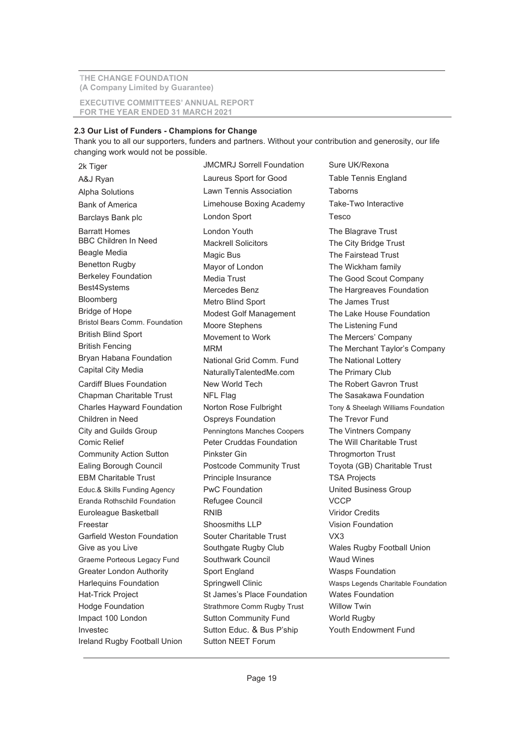EXECUTIVE COMMITTEES' ANNUAL REPORT FOR THE YEAR ENDED 31 MARCH 2021

# 2.3 Our List of Funders - Champions for Change

Thank you to all our supporters, funders and partners. Without your contribution and generosity, our life changing work would not be possible.

2k Tiger **Interpretent Sure UK/Rexona** JMCMRJ Sorrell Foundation Sure UK/Rexona Ireland Rugby Football Union Sutton NEET Forum

A&J Ryan **Laureus Sport for Good** Table Tennis England Alpha Solutions Lawn Tennis Association Taborns Bank of America Limehouse Boxing Academy Take-Two Interactive Barclays Bank plc **Example 20** London Sport Tesco Barratt Homes **London Youth** The Blagrave Trust<br>BBC Children In Need Mackrell Solicitors The City Bridge Tru Mackrell Solicitors The City Bridge Trust Beagle Media **Magic Bus** Magic Bus The Fairstead Trust<br>Benetton Rugby Mayor of London The Wickham family Mayor of London The Wickham family Berkeley Foundation Media Trust Media Trust The Good Scout Company<br>Best4Systems Mercedes Benz The Hargreaves Foundation Best4Systems Mercedes Benz The Hargreaves Foundation Bloomberg Metro Blind Sport The James Trust Modest Golf Management The Lake House Foundation Bristol Bears Comm. Foundation Moore Stephens The Listening Fund British Blind Sport Movement to Work The Mercers' Company<br>British Fencing Motors (MOM MODAL) The Merchant Taylor's ( Bryan Habana Foundation National Grid Comm. Fund The National Lottery<br>Capital City Media NaturallyTalentedMe.com The Primary Club NaturallyTalentedMe.com The Primary Club Cardiff Blues Foundation New World Tech The Robert Gavron Trust Chapman Charitable Trust NFL Flag The Sasakawa Foundation Children in Need Ospreys Foundation The Trevor Fund City and Guilds Group Penningtons Manches Coopers The Vintners Company Comic Relief **Peter Cruddas Foundation** The Will Charitable Trust Community Action Sutton Pinkster Gin Throgmorton Trust EBM Charitable Trust Principle Insurance TSA Projects Educ.& Skills Funding Agency PwC Foundation United Business Group Eranda Rothschild Foundation Refugee Council VCCP Euroleague Basketball RNIB Viridor Credits Freestar Shoosmiths LLP Vision Foundation Garfield Weston Foundation Souter Charitable Trust VX3 Give as you Live **Southgate Rugby Club** Wales Rugby Football Union Graeme Porteous Legacy Fund Southwark Council **Waud Wines** Greater London Authority Sport England Wasps Foundation Hat-Trick Project **St James's Place Foundation** Wates Foundation Hodge Foundation **Strathmore Comm Rugby Trust** Willow Twin Impact 100 London Sutton Community Fund World Rugby Investec Sutton Educ. & Bus P'ship Youth Endowment Fund

British Fencing MRM The Merchant Taylor's Company Charles Hayward Foundation Norton Rose Fulbright Tony & Sheelagh Williams Foundation Ealing Borough Council **Postcode Community Trust** Toyota (GB) Charitable Trust Harlequins Foundation **Springwell Clinic** Wasps Legends Charitable Foundation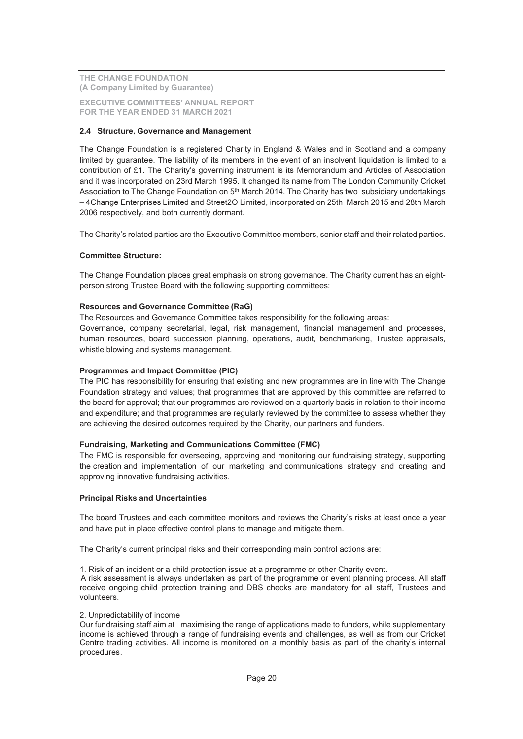EXECUTIVE COMMITTEES' ANNUAL REPORT FOR THE YEAR ENDED 31 MARCH 2021

# 2.4 Structure, Governance and Management

The Change Foundation is a registered Charity in England & Wales and in Scotland and a company limited by guarantee. The liability of its members in the event of an insolvent liquidation is limited to a contribution of £1. The Charity's governing instrument is its Memorandum and Articles of Association and it was incorporated on 23rd March 1995. It changed its name from The London Community Cricket Association to The Change Foundation on 5<sup>th</sup> March 2014. The Charity has two subsidiary undertakings – 4Change Enterprises Limited and Street2O Limited, incorporated on 25th March 2015 and 28th March 2006 respectively, and both currently dormant.

The Charity's related parties are the Executive Committee members, senior staff and their related parties.

### Committee Structure:

The Change Foundation places great emphasis on strong governance. The Charity current has an eightperson strong Trustee Board with the following supporting committees:

### Resources and Governance Committee (RaG)

The Resources and Governance Committee takes responsibility for the following areas:

Governance, company secretarial, legal, risk management, financial management and processes, human resources, board succession planning, operations, audit, benchmarking, Trustee appraisals, whistle blowing and systems management.

### Programmes and Impact Committee (PIC)

The PIC has responsibility for ensuring that existing and new programmes are in line with The Change Foundation strategy and values; that programmes that are approved by this committee are referred to the board for approval; that our programmes are reviewed on a quarterly basis in relation to their income and expenditure; and that programmes are regularly reviewed by the committee to assess whether they are achieving the desired outcomes required by the Charity, our partners and funders.

#### Fundraising, Marketing and Communications Committee (FMC)

The FMC is responsible for overseeing, approving and monitoring our fundraising strategy, supporting the creation and implementation of our marketing and communications strategy and creating and approving innovative fundraising activities.

# Principal Risks and Uncertainties

The board Trustees and each committee monitors and reviews the Charity's risks at least once a year and have put in place effective control plans to manage and mitigate them.

The Charity's current principal risks and their corresponding main control actions are:

1. Risk of an incident or a child protection issue at a programme or other Charity event.

A risk assessment is always undertaken as part of the programme or event planning process. All staff receive ongoing child protection training and DBS checks are mandatory for all staff, Trustees and volunteers.

#### 2. Unpredictability of income

Our fundraising staff aim at maximising the range of applications made to funders, while supplementary income is achieved through a range of fundraising events and challenges, as well as from our Cricket Centre trading activities. All income is monitored on a monthly basis as part of the charity's internal procedures.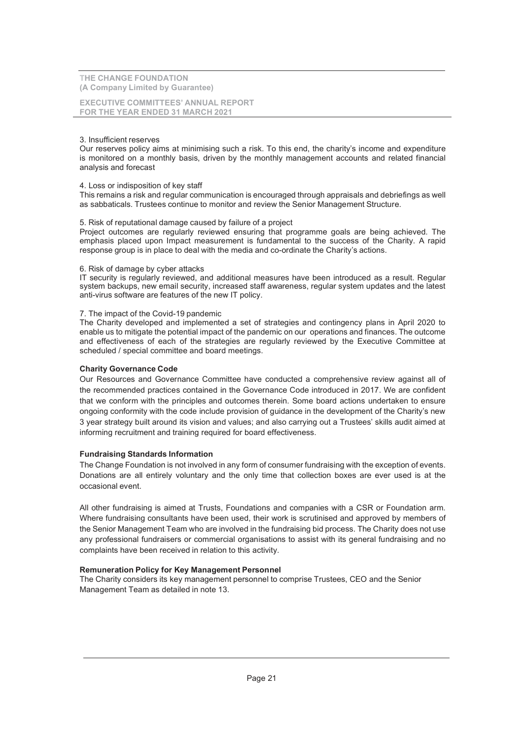EXECUTIVE COMMITTEES' ANNUAL REPORT FOR THE YEAR ENDED 31 MARCH 2021

#### 3. Insufficient reserves

Our reserves policy aims at minimising such a risk. To this end, the charity's income and expenditure is monitored on a monthly basis, driven by the monthly management accounts and related financial analysis and forecast

#### 4. Loss or indisposition of key staff

This remains a risk and regular communication is encouraged through appraisals and debriefings as well as sabbaticals. Trustees continue to monitor and review the Senior Management Structure.

### 5. Risk of reputational damage caused by failure of a project

Project outcomes are regularly reviewed ensuring that programme goals are being achieved. The emphasis placed upon Impact measurement is fundamental to the success of the Charity. A rapid response group is in place to deal with the media and co-ordinate the Charity's actions.

#### 6. Risk of damage by cyber attacks

IT security is regularly reviewed, and additional measures have been introduced as a result. Regular system backups, new email security, increased staff awareness, regular system updates and the latest anti-virus software are features of the new IT policy.

# 7. The impact of the Covid-19 pandemic

The Charity developed and implemented a set of strategies and contingency plans in April 2020 to enable us to mitigate the potential impact of the pandemic on our operations and finances. The outcome and effectiveness of each of the strategies are regularly reviewed by the Executive Committee at scheduled / special committee and board meetings.

#### Charity Governance Code

Our Resources and Governance Committee have conducted a comprehensive review against all of the recommended practices contained in the Governance Code introduced in 2017. We are confident that we conform with the principles and outcomes therein. Some board actions undertaken to ensure ongoing conformity with the code include provision of guidance in the development of the Charity's new 3 year strategy built around its vision and values; and also carrying out a Trustees' skills audit aimed at informing recruitment and training required for board effectiveness.

# Fundraising Standards Information

The Change Foundation is not involved in any form of consumer fundraising with the exception of events. Donations are all entirely voluntary and the only time that collection boxes are ever used is at the occasional event.

All other fundraising is aimed at Trusts, Foundations and companies with a CSR or Foundation arm. Where fundraising consultants have been used, their work is scrutinised and approved by members of the Senior Management Team who are involved in the fundraising bid process. The Charity does not use any professional fundraisers or commercial organisations to assist with its general fundraising and no complaints have been received in relation to this activity.

# Remuneration Policy for Key Management Personnel

The Charity considers its key management personnel to comprise Trustees, CEO and the Senior Management Team as detailed in note 13.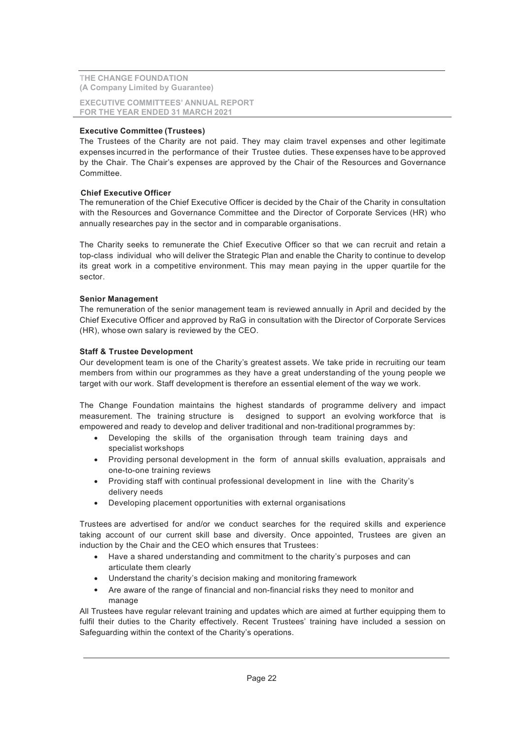EXECUTIVE COMMITTEES' ANNUAL REPORT FOR THE YEAR ENDED 31 MARCH 2021

# Executive Committee (Trustees)

The Trustees of the Charity are not paid. They may claim travel expenses and other legitimate expenses incurred in the performance of their Trustee duties. These expenses have to be approved by the Chair. The Chair's expenses are approved by the Chair of the Resources and Governance Committee.

# Chief Executive Officer

The remuneration of the Chief Executive Officer is decided by the Chair of the Charity in consultation with the Resources and Governance Committee and the Director of Corporate Services (HR) who annually researches pay in the sector and in comparable organisations.

The Charity seeks to remunerate the Chief Executive Officer so that we can recruit and retain a top-class individual who will deliver the Strategic Plan and enable the Charity to continue to develop its great work in a competitive environment. This may mean paying in the upper quartile for the sector.

# Senior Management

The remuneration of the senior management team is reviewed annually in April and decided by the Chief Executive Officer and approved by RaG in consultation with the Director of Corporate Services (HR), whose own salary is reviewed by the CEO.

# Staff & Trustee Development

Our development team is one of the Charity's greatest assets. We take pride in recruiting our team members from within our programmes as they have a great understanding of the young people we target with our work. Staff development is therefore an essential element of the way we work.

The Change Foundation maintains the highest standards of programme delivery and impact measurement. The training structure is designed to support an evolving workforce that is empowered and ready to develop and deliver traditional and non-traditional programmes by:

- · Developing the skills of the organisation through team training days and specialist workshops
- · Providing personal development in the form of annual skills evaluation, appraisals and one-to-one training reviews
- · Providing staff with continual professional development in line with the Charity's delivery needs
- · Developing placement opportunities with external organisations

Trustees are advertised for and/or we conduct searches for the required skills and experience taking account of our current skill base and diversity. Once appointed, Trustees are given an induction by the Chair and the CEO which ensures that Trustees:

- · Have a shared understanding and commitment to the charity's purposes and can articulate them clearly
- · Understand the charity's decision making and monitoring framework
- Are aware of the range of financial and non-financial risks they need to monitor and manage

All Trustees have regular relevant training and updates which are aimed at further equipping them to fulfil their duties to the Charity effectively. Recent Trustees' training have included a session on Safeguarding within the context of the Charity's operations.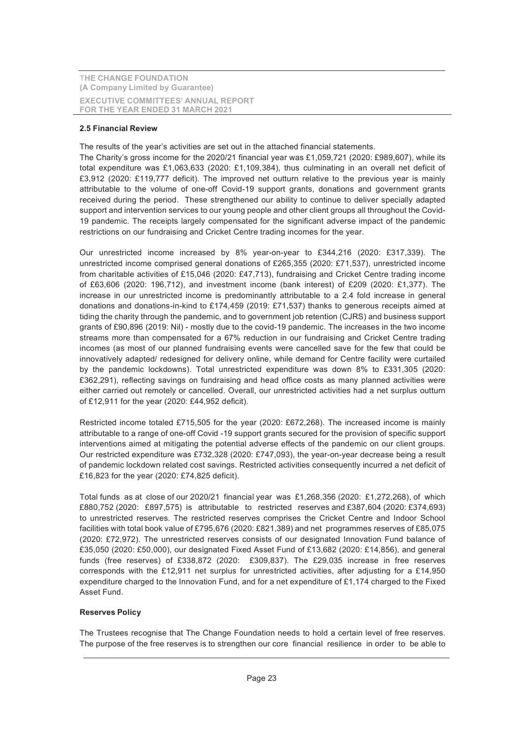# 2.5 Financial Review

The results of the year's activities are set out in the attached financial statements.

The Charity's gross income for the 2020/21 financial year was £1,059,721 (2020: £989,607), while its total expenditure was £1,063,633 (2020: £1,109,384), thus culminating in an overall net deficit of £3,912 (2020: £119,777 deficit). The improved net outturn relative to the previous year is mainly attributable to the volume of one-off Covid-19 support grants, donations and government grants received during the period. These strengthened our ability to continue to deliver specially adapted support and intervention services to our young people and other client groups all throughout the Covid-19 pandemic. The receipts largely compensated for the significant adverse impact of the pandemic restrictions on our fundraising and Cricket Centre trading incomes for the year.

Our unrestricted income increased by 8% year-on-year to £344,216 (2020: £317,339). The unrestricted income comprised general donations of £265,355 (2020: £71,537), unrestricted income from charitable activities of £15,046 (2020: £47,713), fundraising and Cricket Centre trading income of £63,606 (2020: 196,712), and investment income (bank interest) of £209 (2020: £1,377). The increase in our unrestricted income is predominantly attributable to a 2.4 fold increase in general donations and donations-in-kind to £174,459 (2019: £71,537) thanks to generous receipts aimed at tiding the charity through the pandemic, and to government job retention (CJRS) and business support grants of £90,896 (2019: Nil) - mostly due to the covid-19 pandemic. The increases in the two income streams more than compensated for a 67% reduction in our fundraising and Cricket Centre trading incomes (as most of our planned fundraising events were cancelled save for the few that could be innovatively adapted/ redesigned for delivery online, while demand for Centre facility were curtailed by the pandemic lockdowns). Total unrestricted expenditure was down 8% to £331,305 (2020: £362,291), reflecting savings on fundraising and head office costs as many planned activities were either carried out remotely or cancelled. Overall, our unrestricted activities had a net surplus outturn of £12,911 for the year (2020: £44,952 deficit).

Restricted income totaled £715,505 for the year (2020: £672,268). The increased income is mainly attributable to a range of one-off Covid -19 support grants secured for the provision of specific support interventions aimed at mitigating the potential adverse effects of the pandemic on our client groups. Our restricted expenditure was £732,328 (2020: £747,093), the year-on-year decrease being a result of pandemic lockdown related cost savings. Restricted activities consequently incurred a net deficit of £16,823 for the year (2020: £74,825 deficit).

Total funds as at close of our 2020/21 financial year was £1,268,356 (2020: £1,272,268), of which £880,752 (2020: £897,575) is attributable to restricted reserves and £387,604 (2020: £374,693) to unrestricted reserves. The restricted reserves comprises the Cricket Centre and Indoor School facilities with total book value of £795,676 (2020: £821,389) and net programmes reserves of £85,075 (2020: £72,972). The unrestricted reserves consists of our designated Innovation Fund balance of £35,050 (2020: £50,000), our designated Fixed Asset Fund of £13,682 (2020: £14,856), and general funds (free reserves) of £338,872 (2020: £309,837). The £29,035 increase in free reserves corresponds with the £12,911 net surplus for unrestricted activities, after adjusting for a £14,950 expenditure charged to the Innovation Fund, and for a net expenditure of £1,174 charged to the Fixed Asset Fund.

# Reserves Policy

The Trustees recognise that The Change Foundation needs to hold a certain level of free reserves. The purpose of the free reserves is to strengthen our core financial resilience in order to be able to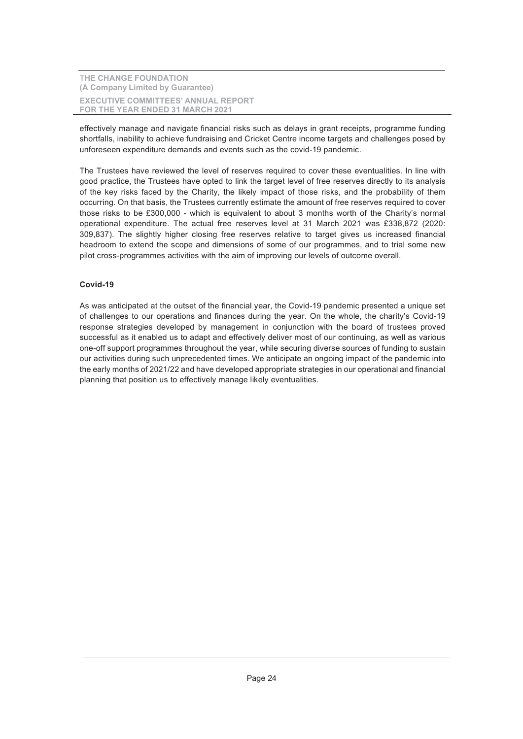effectively manage and navigate financial risks such as delays in grant receipts, programme funding shortfalls, inability to achieve fundraising and Cricket Centre income targets and challenges posed by unforeseen expenditure demands and events such as the covid-19 pandemic.

The Trustees have reviewed the level of reserves required to cover these eventualities. In line with good practice, the Trustees have opted to link the target level of free reserves directly to its analysis of the key risks faced by the Charity, the likely impact of those risks, and the probability of them occurring. On that basis, the Trustees currently estimate the amount of free reserves required to cover those risks to be £300,000 - which is equivalent to about 3 months worth of the Charity's normal operational expenditure. The actual free reserves level at 31 March 2021 was £338,872 (2020: 309,837). The slightly higher closing free reserves relative to target gives us increased financial headroom to extend the scope and dimensions of some of our programmes, and to trial some new pilot cross-programmes activities with the aim of improving our levels of outcome overall.

# Covid-19

As was anticipated at the outset of the financial year, the Covid-19 pandemic presented a unique set of challenges to our operations and finances during the year. On the whole, the charity's Covid-19 response strategies developed by management in conjunction with the board of trustees proved successful as it enabled us to adapt and effectively deliver most of our continuing, as well as various one-off support programmes throughout the year, while securing diverse sources of funding to sustain our activities during such unprecedented times. We anticipate an ongoing impact of the pandemic into the early months of 2021/22 and have developed appropriate strategies in our operational and financial planning that position us to effectively manage likely eventualities.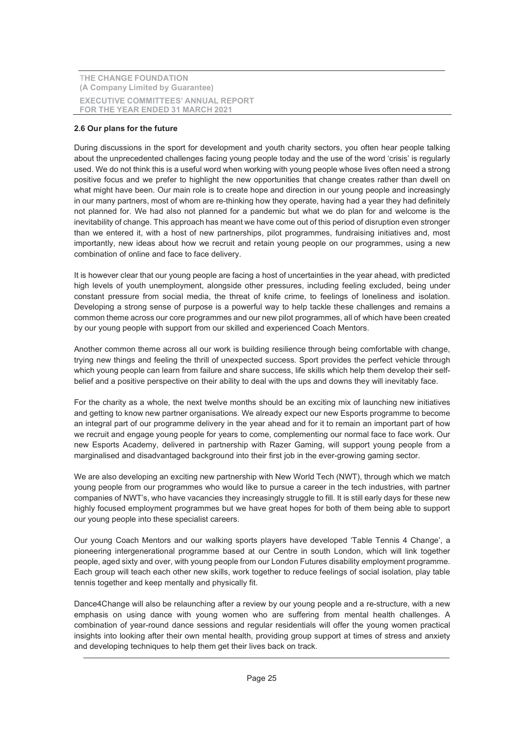# 2.6 Our plans for the future

During discussions in the sport for development and youth charity sectors, you often hear people talking about the unprecedented challenges facing young people today and the use of the word 'crisis' is regularly used. We do not think this is a useful word when working with young people whose lives often need a strong positive focus and we prefer to highlight the new opportunities that change creates rather than dwell on what might have been. Our main role is to create hope and direction in our young people and increasingly in our many partners, most of whom are re-thinking how they operate, having had a year they had definitely not planned for. We had also not planned for a pandemic but what we do plan for and welcome is the inevitability of change. This approach has meant we have come out of this period of disruption even stronger than we entered it, with a host of new partnerships, pilot programmes, fundraising initiatives and, most importantly, new ideas about how we recruit and retain young people on our programmes, using a new combination of online and face to face delivery.

It is however clear that our young people are facing a host of uncertainties in the year ahead, with predicted high levels of youth unemployment, alongside other pressures, including feeling excluded, being under constant pressure from social media, the threat of knife crime, to feelings of loneliness and isolation. Developing a strong sense of purpose is a powerful way to help tackle these challenges and remains a common theme across our core programmes and our new pilot programmes, all of which have been created by our young people with support from our skilled and experienced Coach Mentors.

Another common theme across all our work is building resilience through being comfortable with change, trying new things and feeling the thrill of unexpected success. Sport provides the perfect vehicle through which young people can learn from failure and share success, life skills which help them develop their selfbelief and a positive perspective on their ability to deal with the ups and downs they will inevitably face.

For the charity as a whole, the next twelve months should be an exciting mix of launching new initiatives and getting to know new partner organisations. We already expect our new Esports programme to become an integral part of our programme delivery in the year ahead and for it to remain an important part of how we recruit and engage young people for years to come, complementing our normal face to face work. Our new Esports Academy, delivered in partnership with Razer Gaming, will support young people from a marginalised and disadvantaged background into their first job in the ever-growing gaming sector.

We are also developing an exciting new partnership with New World Tech (NWT), through which we match young people from our programmes who would like to pursue a career in the tech industries, with partner companies of NWT's, who have vacancies they increasingly struggle to fill. It is still early days for these new highly focused employment programmes but we have great hopes for both of them being able to support our young people into these specialist careers.

Our young Coach Mentors and our walking sports players have developed 'Table Tennis 4 Change', a pioneering intergenerational programme based at our Centre in south London, which will link together people, aged sixty and over, with young people from our London Futures disability employment programme. Each group will teach each other new skills, work together to reduce feelings of social isolation, play table tennis together and keep mentally and physically fit.

Dance4Change will also be relaunching after a review by our young people and a re-structure, with a new emphasis on using dance with young women who are suffering from mental health challenges. A combination of year-round dance sessions and regular residentials will offer the young women practical insights into looking after their own mental health, providing group support at times of stress and anxiety and developing techniques to help them get their lives back on track.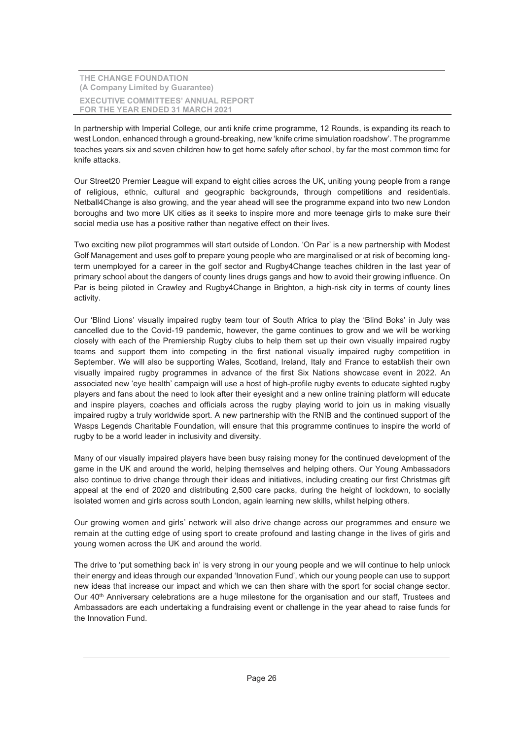In partnership with Imperial College, our anti knife crime programme, 12 Rounds, is expanding its reach to west London, enhanced through a ground-breaking, new 'knife crime simulation roadshow'. The programme teaches years six and seven children how to get home safely after school, by far the most common time for knife attacks.

Our Street20 Premier League will expand to eight cities across the UK, uniting young people from a range of religious, ethnic, cultural and geographic backgrounds, through competitions and residentials. Netball4Change is also growing, and the year ahead will see the programme expand into two new London boroughs and two more UK cities as it seeks to inspire more and more teenage girls to make sure their social media use has a positive rather than negative effect on their lives.

Two exciting new pilot programmes will start outside of London. 'On Par' is a new partnership with Modest Golf Management and uses golf to prepare young people who are marginalised or at risk of becoming longterm unemployed for a career in the golf sector and Rugby4Change teaches children in the last year of primary school about the dangers of county lines drugs gangs and how to avoid their growing influence. On Par is being piloted in Crawley and Rugby4Change in Brighton, a high-risk city in terms of county lines activity.

Our 'Blind Lions' visually impaired rugby team tour of South Africa to play the 'Blind Boks' in July was cancelled due to the Covid-19 pandemic, however, the game continues to grow and we will be working closely with each of the Premiership Rugby clubs to help them set up their own visually impaired rugby teams and support them into competing in the first national visually impaired rugby competition in September. We will also be supporting Wales, Scotland, Ireland, Italy and France to establish their own visually impaired rugby programmes in advance of the first Six Nations showcase event in 2022. An associated new 'eye health' campaign will use a host of high-profile rugby events to educate sighted rugby players and fans about the need to look after their eyesight and a new online training platform will educate and inspire players, coaches and officials across the rugby playing world to join us in making visually impaired rugby a truly worldwide sport. A new partnership with the RNIB and the continued support of the Wasps Legends Charitable Foundation, will ensure that this programme continues to inspire the world of rugby to be a world leader in inclusivity and diversity.

Many of our visually impaired players have been busy raising money for the continued development of the game in the UK and around the world, helping themselves and helping others. Our Young Ambassadors also continue to drive change through their ideas and initiatives, including creating our first Christmas gift appeal at the end of 2020 and distributing 2,500 care packs, during the height of lockdown, to socially isolated women and girls across south London, again learning new skills, whilst helping others.

Our growing women and girls' network will also drive change across our programmes and ensure we remain at the cutting edge of using sport to create profound and lasting change in the lives of girls and young women across the UK and around the world.

The drive to 'put something back in' is very strong in our young people and we will continue to help unlock their energy and ideas through our expanded 'Innovation Fund', which our young people can use to support new ideas that increase our impact and which we can then share with the sport for social change sector. Our 40<sup>th</sup> Anniversary celebrations are a huge milestone for the organisation and our staff, Trustees and Ambassadors are each undertaking a fundraising event or challenge in the year ahead to raise funds for the Innovation Fund.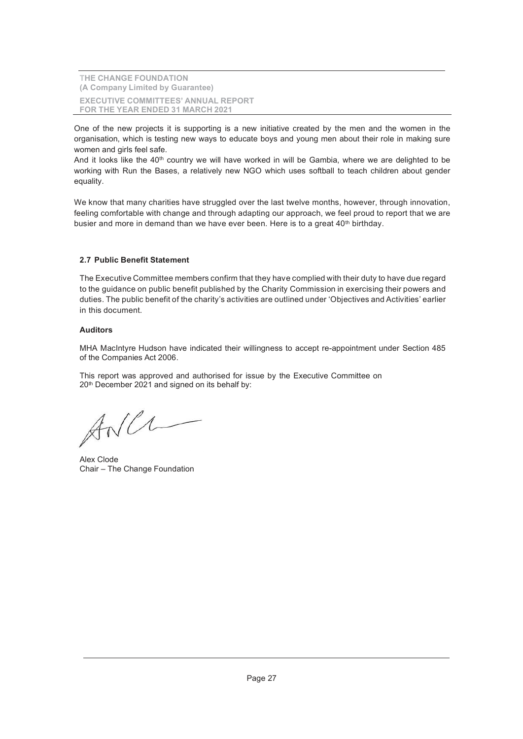```
THE CHANGE FOUNDATION
(A Company Limited by Guarantee)
EXECUTIVE COMMITTEES' ANNUAL REPORT
FOR THE YEAR ENDED 31 MARCH 2021
```
One of the new projects it is supporting is a new initiative created by the men and the women in the organisation, which is testing new ways to educate boys and young men about their role in making sure women and girls feel safe.

And it looks like the  $40<sup>th</sup>$  country we will have worked in will be Gambia, where we are delighted to be working with Run the Bases, a relatively new NGO which uses softball to teach children about gender equality.

We know that many charities have struggled over the last twelve months, however, through innovation, feeling comfortable with change and through adapting our approach, we feel proud to report that we are busier and more in demand than we have ever been. Here is to a great 40<sup>th</sup> birthday.

# 2.7 Public Benefit Statement

The Executive Committee members confirm that they have complied with their duty to have due regard to the guidance on public benefit published by the Charity Commission in exercising their powers and duties. The public benefit of the charity's activities are outlined under 'Objectives and Activities' earlier in this document.

# Auditors

MHA MacIntyre Hudson have indicated their willingness to accept re-appointment under Section 485 of the Companies Act 2006.

This report was approved and authorised for issue by the Executive Committee on 20<sup>th</sup> December 2021 and signed on its behalf by:

 $ANU$ 

Alex Clode Chair – The Change Foundation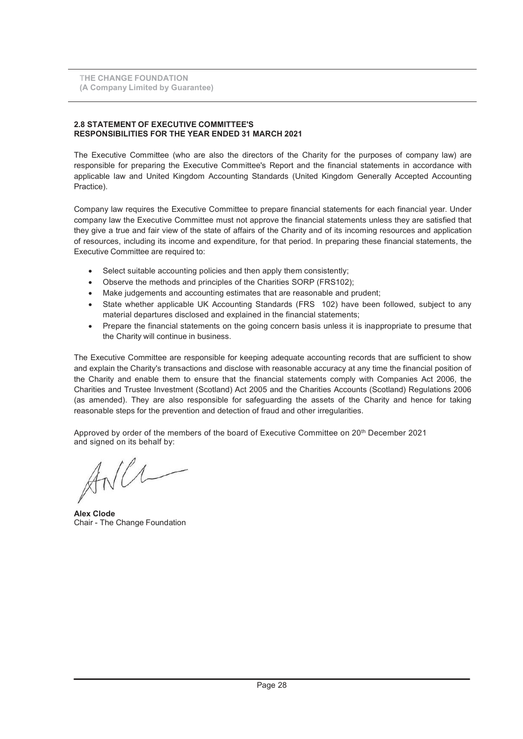# 2.8 STATEMENT OF EXECUTIVE COMMITTEE'S RESPONSIBILITIES FOR THE YEAR ENDED 31 MARCH 2021

The Executive Committee (who are also the directors of the Charity for the purposes of company law) are responsible for preparing the Executive Committee's Report and the financial statements in accordance with applicable law and United Kingdom Accounting Standards (United Kingdom Generally Accepted Accounting Practice).

Company law requires the Executive Committee to prepare financial statements for each financial year. Under company law the Executive Committee must not approve the financial statements unless they are satisfied that they give a true and fair view of the state of affairs of the Charity and of its incoming resources and application of resources, including its income and expenditure, for that period. In preparing these financial statements, the Executive Committee are required to:

- Select suitable accounting policies and then apply them consistently;
- · Observe the methods and principles of the Charities SORP (FRS102);
- · Make judgements and accounting estimates that are reasonable and prudent;
- State whether applicable UK Accounting Standards (FRS 102) have been followed, subject to any material departures disclosed and explained in the financial statements;
- · Prepare the financial statements on the going concern basis unless it is inappropriate to presume that the Charity will continue in business.

The Executive Committee are responsible for keeping adequate accounting records that are sufficient to show and explain the Charity's transactions and disclose with reasonable accuracy at any time the financial position of the Charity and enable them to ensure that the financial statements comply with Companies Act 2006, the Charities and Trustee Investment (Scotland) Act 2005 and the Charities Accounts (Scotland) Regulations 2006 (as amended). They are also responsible for safeguarding the assets of the Charity and hence for taking reasonable steps for the prevention and detection of fraud and other irregularities.

Approved by order of the members of the board of Executive Committee on 20th December 2021 and signed on its behalf by:

 $ANU$ 

Alex Clode Chair - The Change Foundation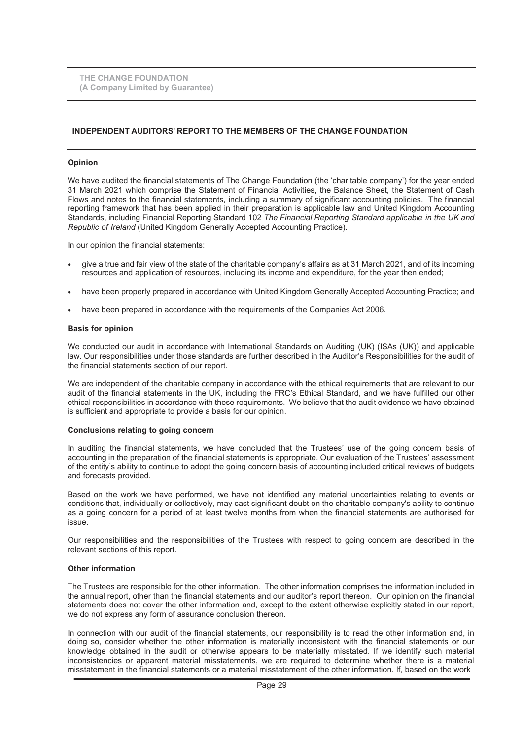# INDEPENDENT AUDITORS' REPORT TO THE MEMBERS OF THE CHANGE FOUNDATION

### Opinion

We have audited the financial statements of The Change Foundation (the 'charitable company') for the year ended 31 March 2021 which comprise the Statement of Financial Activities, the Balance Sheet, the Statement of Cash Flows and notes to the financial statements, including a summary of significant accounting policies. The financial reporting framework that has been applied in their preparation is applicable law and United Kingdom Accounting Standards, including Financial Reporting Standard 102 The Financial Reporting Standard applicable in the UK and Republic of Ireland (United Kingdom Generally Accepted Accounting Practice).

In our opinion the financial statements:

- · give a true and fair view of the state of the charitable company's affairs as at 31 March 2021, and of its incoming resources and application of resources, including its income and expenditure, for the year then ended;
- have been properly prepared in accordance with United Kingdom Generally Accepted Accounting Practice; and
- have been prepared in accordance with the requirements of the Companies Act 2006.

#### Basis for opinion

We conducted our audit in accordance with International Standards on Auditing (UK) (ISAs (UK)) and applicable law. Our responsibilities under those standards are further described in the Auditor's Responsibilities for the audit of the financial statements section of our report.

We are independent of the charitable company in accordance with the ethical requirements that are relevant to our audit of the financial statements in the UK, including the FRC's Ethical Standard, and we have fulfilled our other ethical responsibilities in accordance with these requirements. We believe that the audit evidence we have obtained is sufficient and appropriate to provide a basis for our opinion.

#### Conclusions relating to going concern

In auditing the financial statements, we have concluded that the Trustees' use of the going concern basis of accounting in the preparation of the financial statements is appropriate. Our evaluation of the Trustees' assessment of the entity's ability to continue to adopt the going concern basis of accounting included critical reviews of budgets and forecasts provided.

Based on the work we have performed, we have not identified any material uncertainties relating to events or conditions that, individually or collectively, may cast significant doubt on the charitable company's ability to continue as a going concern for a period of at least twelve months from when the financial statements are authorised for issue.

Our responsibilities and the responsibilities of the Trustees with respect to going concern are described in the relevant sections of this report.

#### Other information

The Trustees are responsible for the other information. The other information comprises the information included in the annual report, other than the financial statements and our auditor's report thereon. Our opinion on the financial statements does not cover the other information and, except to the extent otherwise explicitly stated in our report, we do not express any form of assurance conclusion thereon.

In connection with our audit of the financial statements, our responsibility is to read the other information and, in doing so, consider whether the other information is materially inconsistent with the financial statements or our knowledge obtained in the audit or otherwise appears to be materially misstated. If we identify such material inconsistencies or apparent material misstatements, we are required to determine whether there is a material misstatement in the financial statements or a material misstatement of the other information. If, based on the work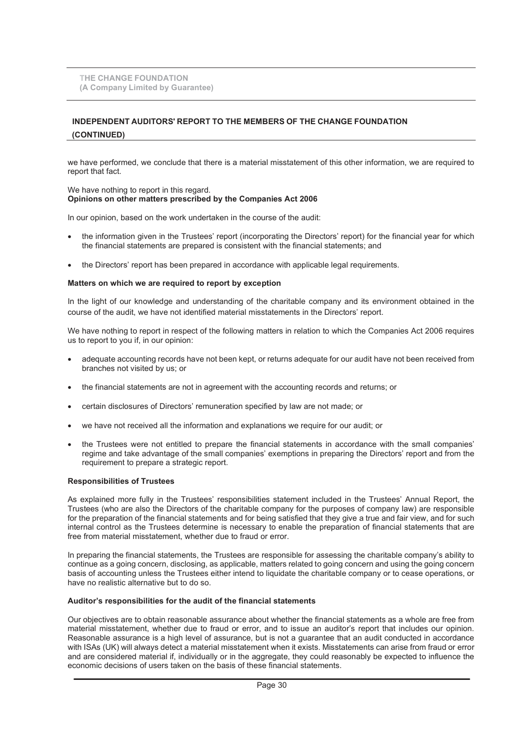# (A Company Limited by Guarantee) THE CHANGE FOUNDATION

# INDEPENDENT AUDITORS' REPORT TO THE MEMBERS OF THE CHANGE FOUNDATION (CONTINUED)

we have performed, we conclude that there is a material misstatement of this other information, we are required to report that fact.

#### We have nothing to report in this regard. Opinions on other matters prescribed by the Companies Act 2006

In our opinion, based on the work undertaken in the course of the audit:

- · the information given in the Trustees' report (incorporating the Directors' report) for the financial year for which the financial statements are prepared is consistent with the financial statements; and
- · the Directors' report has been prepared in accordance with applicable legal requirements.

### Matters on which we are required to report by exception

In the light of our knowledge and understanding of the charitable company and its environment obtained in the course of the audit, we have not identified material misstatements in the Directors' report.

We have nothing to report in respect of the following matters in relation to which the Companies Act 2006 requires us to report to you if, in our opinion:

- adequate accounting records have not been kept, or returns adequate for our audit have not been received from branches not visited by us; or
- the financial statements are not in agreement with the accounting records and returns; or
- · certain disclosures of Directors' remuneration specified by law are not made; or
- we have not received all the information and explanations we require for our audit; or
- · the Trustees were not entitled to prepare the financial statements in accordance with the small companies' regime and take advantage of the small companies' exemptions in preparing the Directors' report and from the requirement to prepare a strategic report.

# Responsibilities of Trustees

As explained more fully in the Trustees' responsibilities statement included in the Trustees' Annual Report, the Trustees (who are also the Directors of the charitable company for the purposes of company law) are responsible for the preparation of the financial statements and for being satisfied that they give a true and fair view, and for such internal control as the Trustees determine is necessary to enable the preparation of financial statements that are free from material misstatement, whether due to fraud or error.

In preparing the financial statements, the Trustees are responsible for assessing the charitable company's ability to continue as a going concern, disclosing, as applicable, matters related to going concern and using the going concern basis of accounting unless the Trustees either intend to liquidate the charitable company or to cease operations, or have no realistic alternative but to do so.

# Auditor's responsibilities for the audit of the financial statements

Our objectives are to obtain reasonable assurance about whether the financial statements as a whole are free from material misstatement, whether due to fraud or error, and to issue an auditor's report that includes our opinion. Reasonable assurance is a high level of assurance, but is not a guarantee that an audit conducted in accordance with ISAs (UK) will always detect a material misstatement when it exists. Misstatements can arise from fraud or error and are considered material if, individually or in the aggregate, they could reasonably be expected to influence the economic decisions of users taken on the basis of these financial statements.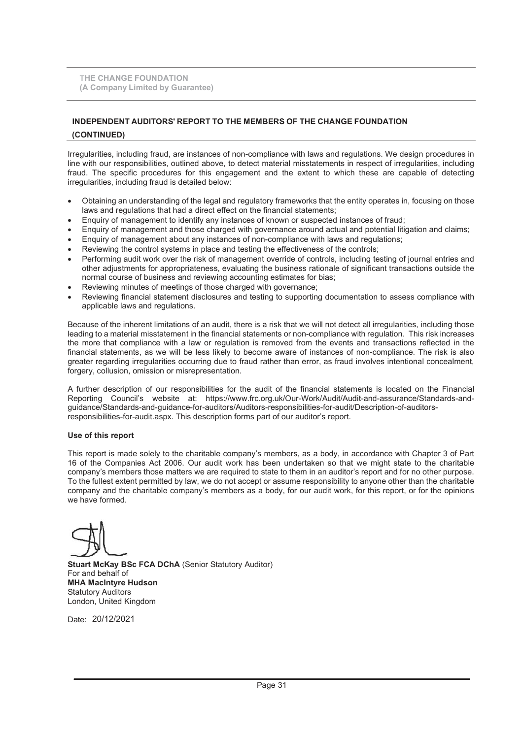(A Company Limited by Guarantee) THE CHANGE FOUNDATION

# INDEPENDENT AUDITORS' REPORT TO THE MEMBERS OF THE CHANGE FOUNDATION (CONTINUED)

Irregularities, including fraud, are instances of non-compliance with laws and regulations. We design procedures in line with our responsibilities, outlined above, to detect material misstatements in respect of irregularities, including fraud. The specific procedures for this engagement and the extent to which these are capable of detecting irregularities, including fraud is detailed below:

- Obtaining an understanding of the legal and regulatory frameworks that the entity operates in, focusing on those laws and regulations that had a direct effect on the financial statements;
- · Enquiry of management to identify any instances of known or suspected instances of fraud;
- · Enquiry of management and those charged with governance around actual and potential litigation and claims;
- Enquiry of management about any instances of non-compliance with laws and regulations;
- Reviewing the control systems in place and testing the effectiveness of the controls;
- Performing audit work over the risk of management override of controls, including testing of journal entries and other adjustments for appropriateness, evaluating the business rationale of significant transactions outside the normal course of business and reviewing accounting estimates for bias;
- Reviewing minutes of meetings of those charged with governance;
- Reviewing financial statement disclosures and testing to supporting documentation to assess compliance with applicable laws and regulations.

Because of the inherent limitations of an audit, there is a risk that we will not detect all irregularities, including those leading to a material misstatement in the financial statements or non-compliance with regulation. This risk increases the more that compliance with a law or regulation is removed from the events and transactions reflected in the financial statements, as we will be less likely to become aware of instances of non-compliance. The risk is also greater regarding irregularities occurring due to fraud rather than error, as fraud involves intentional concealment, forgery, collusion, omission or misrepresentation.

A further description of our responsibilities for the audit of the financial statements is located on the Financial Reporting Council's website at: https://www.frc.org.uk/Our-Work/Audit/Audit-and-assurance/Standards-andguidance/Standards-and-guidance-for-auditors/Auditors-responsibilities-for-audit/Description-of-auditorsresponsibilities-for-audit.aspx. This description forms part of our auditor's report.

# Use of this report

This report is made solely to the charitable company's members, as a body, in accordance with Chapter 3 of Part 16 of the Companies Act 2006. Our audit work has been undertaken so that we might state to the charitable company's members those matters we are required to state to them in an auditor's report and for no other purpose. To the fullest extent permitted by law, we do not accept or assume responsibility to anyone other than the charitable company and the charitable company's members as a body, for our audit work, for this report, or for the opinions we have formed.

Stuart McKay BSc FCA DChA (Senior Statutory Auditor) For and behalf of MHA MacIntyre Hudson Statutory Auditors London, United Kingdom

Date: 20/12/2021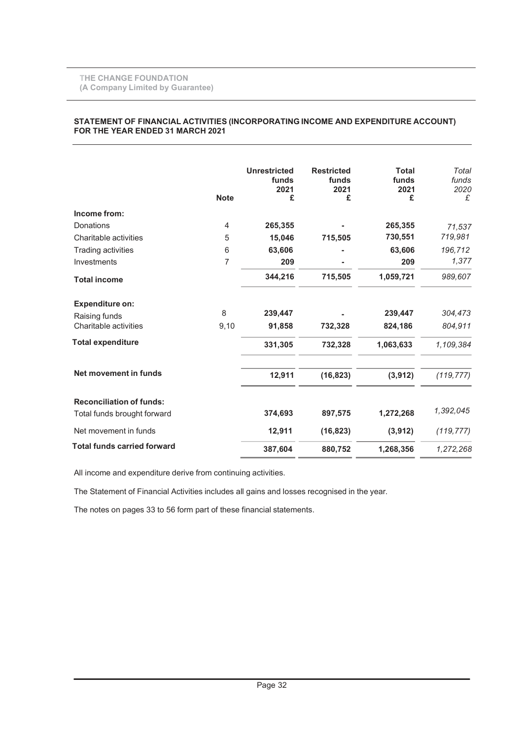Ī

# STATEMENT OF FINANCIAL ACTIVITIES (INCORPORATING INCOME AND EXPENDITURE ACCOUNT) FOR THE YEAR ENDED 31 MARCH 2021

|                                    | <b>Note</b>    | <b>Unrestricted</b><br>funds<br>2021<br>£ | <b>Restricted</b><br>funds<br>2021<br>£ | <b>Total</b><br>funds<br>2021<br>£ | Total<br>funds<br>2020<br>£ |
|------------------------------------|----------------|-------------------------------------------|-----------------------------------------|------------------------------------|-----------------------------|
| Income from:                       |                |                                           |                                         |                                    |                             |
| Donations                          | $\overline{4}$ | 265,355                                   |                                         | 265,355                            | 71,537                      |
| Charitable activities              | 5              | 15,046                                    | 715,505                                 | 730,551                            | 719,981                     |
| <b>Trading activities</b>          | 6              | 63,606                                    |                                         | 63,606                             | 196,712                     |
| Investments                        | 7              | 209                                       |                                         | 209                                | 1,377                       |
| <b>Total income</b>                |                | 344,216                                   | 715,505                                 | 1,059,721                          | 989,607                     |
| <b>Expenditure on:</b>             |                |                                           |                                         |                                    |                             |
| Raising funds                      | 8              | 239,447                                   |                                         | 239,447                            | 304,473                     |
| Charitable activities              | 9,10           | 91,858                                    | 732,328                                 | 824,186                            | 804,911                     |
| <b>Total expenditure</b>           |                | 331,305                                   | 732,328                                 | 1,063,633                          | 1,109,384                   |
| Net movement in funds              |                | 12,911                                    | (16, 823)                               | (3,912)                            | (119, 777)                  |
| <b>Reconciliation of funds:</b>    |                |                                           |                                         |                                    |                             |
| Total funds brought forward        |                | 374,693                                   | 897,575                                 | 1,272,268                          | 1,392,045                   |
| Net movement in funds              |                | 12,911                                    | (16, 823)                               | (3,912)                            | (119, 777)                  |
| <b>Total funds carried forward</b> |                | 387,604                                   | 880,752                                 | 1,268,356                          | 1,272,268                   |

All income and expenditure derive from continuing activities.

The Statement of Financial Activities includes all gains and losses recognised in the year.

The notes on pages 33 to 56 form part of these financial statements.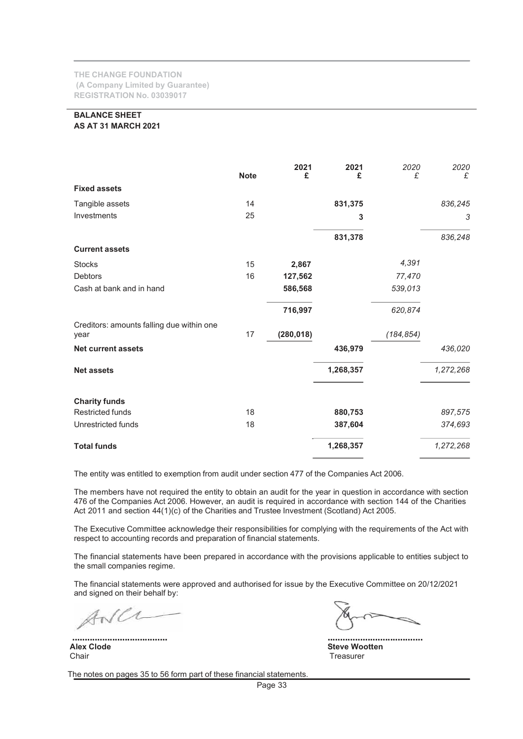# BALANCE SHEET AS AT 31 MARCH 2021

|                                                   | <b>Note</b> | 2021<br>£  | 2021<br>£ | 2020<br>£  | 2020<br>£ |
|---------------------------------------------------|-------------|------------|-----------|------------|-----------|
| <b>Fixed assets</b>                               |             |            |           |            |           |
| Tangible assets                                   | 14          |            | 831,375   |            | 836,245   |
| Investments                                       | 25          |            | 3         |            | 3         |
|                                                   |             |            | 831,378   |            | 836,248   |
| <b>Current assets</b>                             |             |            |           |            |           |
| <b>Stocks</b>                                     | 15          | 2,867      |           | 4,391      |           |
| <b>Debtors</b>                                    | 16          | 127,562    |           | 77,470     |           |
| Cash at bank and in hand                          |             | 586,568    |           | 539,013    |           |
|                                                   |             | 716,997    |           | 620,874    |           |
| Creditors: amounts falling due within one<br>year | 17          | (280, 018) |           | (184, 854) |           |
| <b>Net current assets</b>                         |             |            | 436,979   |            | 436,020   |
| <b>Net assets</b>                                 |             |            | 1,268,357 |            | 1,272,268 |
| <b>Charity funds</b>                              |             |            |           |            |           |
| <b>Restricted funds</b>                           | 18          |            | 880,753   |            | 897,575   |
| Unrestricted funds                                | 18          |            | 387,604   |            | 374,693   |
| <b>Total funds</b>                                |             |            | 1,268,357 |            | 1,272,268 |

The entity was entitled to exemption from audit under section 477 of the Companies Act 2006.

The members have not required the entity to obtain an audit for the year in question in accordance with section 476 of the Companies Act 2006. However, an audit is required in accordance with section 144 of the Charities Act 2011 and section 44(1)(c) of the Charities and Trustee Investment (Scotland) Act 2005.

The Executive Committee acknowledge their responsibilities for complying with the requirements of the Act with respect to accounting records and preparation of financial statements.

The financial statements have been prepared in accordance with the provisions applicable to entities subject to the small companies regime.

The financial statements were approved and authorised for issue by the Executive Committee on 20/12/2021 and signed on their behalf by:

ANCI

Alex Clode Steve Wootten<br>Chair Steve Wootten<br>Chair Steve Wootten

...................................... ...................................... Treasurer

The notes on pages 35 to 56 form part of these financial statements.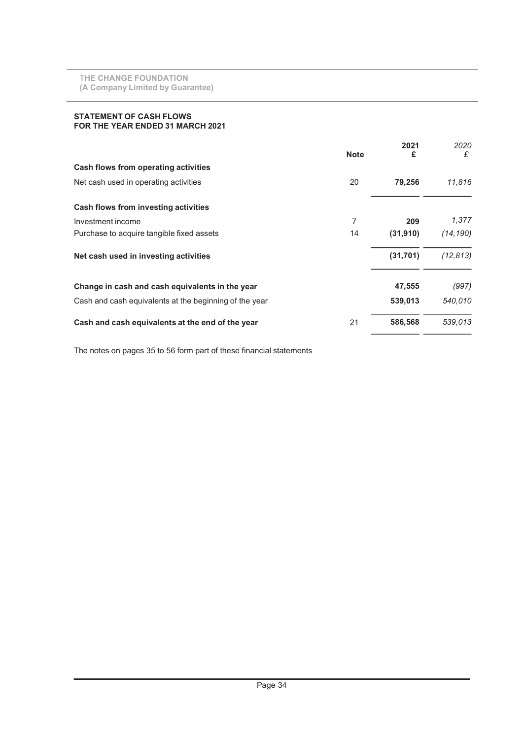# STATEMENT OF CASH FLOWS FOR THE YEAR ENDED 31 MARCH 2021

|                                                        | <b>Note</b> | 2021<br>£ | 2020<br>£ |
|--------------------------------------------------------|-------------|-----------|-----------|
| Cash flows from operating activities                   |             |           |           |
| Net cash used in operating activities                  | 20          | 79,256    | 11,816    |
| Cash flows from investing activities                   |             |           |           |
| Investment income                                      | 7           | 209       | 1,377     |
| Purchase to acquire tangible fixed assets              | 14          | (31, 910) | (14, 190) |
| Net cash used in investing activities                  |             | (31, 701) | (12, 813) |
| Change in cash and cash equivalents in the year        |             | 47,555    | (997)     |
| Cash and cash equivalents at the beginning of the year |             | 539,013   | 540,010   |
| Cash and cash equivalents at the end of the year       | 21          | 586,568   | 539,013   |
|                                                        |             |           |           |

The notes on pages 35 to 56 form part of these financial statements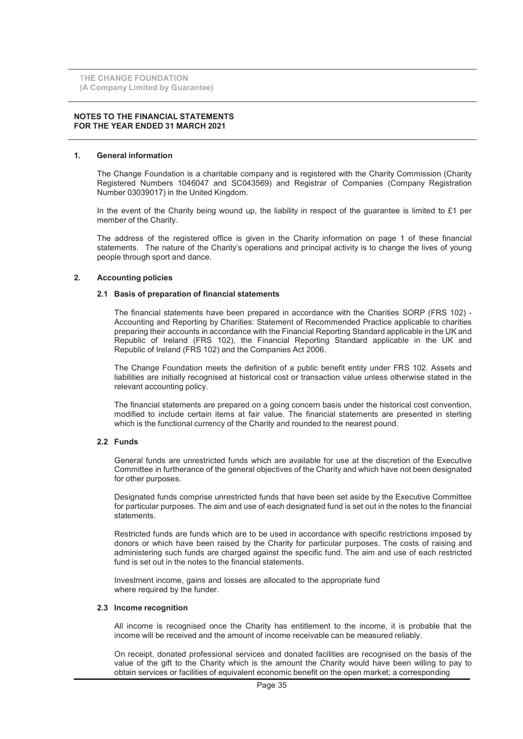#### NOTES TO THE FINANCIAL STATEMENTS FOR THE YEAR ENDED 31 MARCH 2021

#### 1. General information

The Change Foundation is a charitable company and is registered with the Charity Commission (Charity Registered Numbers 1046047 and SC043569) and Registrar of Companies (Company Registration Number 03039017) in the United Kingdom.

In the event of the Charity being wound up, the liability in respect of the guarantee is limited to  $£1$  per member of the Charity.

The address of the registered office is given in the Charity information on page 1 of these financial statements. The nature of the Charity's operations and principal activity is to change the lives of young people through sport and dance.

### 2. Accounting policies

# 2.1 Basis of preparation of financial statements

The financial statements have been prepared in accordance with the Charities SORP (FRS 102) - Accounting and Reporting by Charities: Statement of Recommended Practice applicable to charities preparing their accounts in accordance with the Financial Reporting Standard applicable in the UK and Republic of Ireland (FRS 102), the Financial Reporting Standard applicable in the UK and Republic of Ireland (FRS 102) and the Companies Act 2006.

The Change Foundation meets the definition of a public benefit entity under FRS 102. Assets and liabilities are initially recognised at historical cost or transaction value unless otherwise stated in the relevant accounting policy.

The financial statements are prepared on a going concern basis under the historical cost convention, modified to include certain items at fair value. The financial statements are presented in sterling which is the functional currency of the Charity and rounded to the nearest pound.

# 2.2 Funds

General funds are unrestricted funds which are available for use at the discretion of the Executive Committee in furtherance of the general objectives of the Charity and which have not been designated for other purposes.

Designated funds comprise unrestricted funds that have been set aside by the Executive Committee for particular purposes. The aim and use of each designated fund is set out in the notes to the financial statements.

Restricted funds are funds which are to be used in accordance with specific restrictions imposed by donors or which have been raised by the Charity for particular purposes. The costs of raising and administering such funds are charged against the specific fund. The aim and use of each restricted fund is set out in the notes to the financial statements.

Investment income, gains and losses are allocated to the appropriate fund where required by the funder.

#### 2.3 Income recognition

All income is recognised once the Charity has entitlement to the income, it is probable that the income will be received and the amount of income receivable can be measured reliably.

On receipt, donated professional services and donated facilities are recognised on the basis of the value of the gift to the Charity which is the amount the Charity would have been willing to pay to obtain services or facilities of equivalent economic benefit on the open market; a corresponding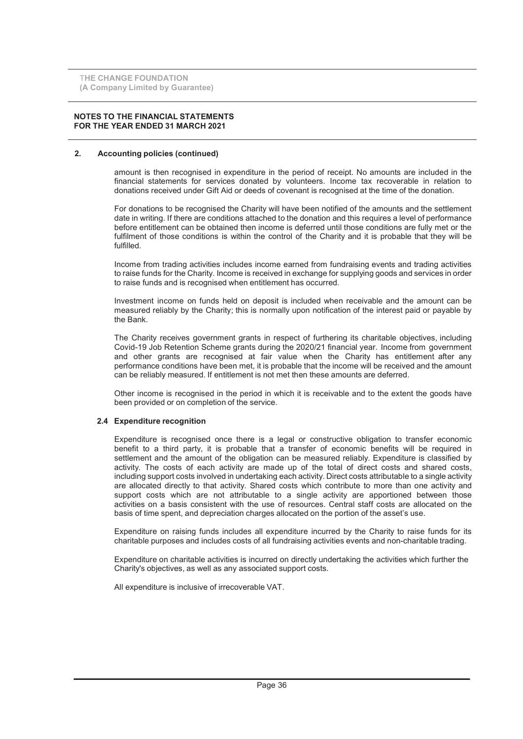### NOTES TO THE FINANCIAL STATEMENTS FOR THE YEAR ENDED 31 MARCH 2021

# 2. Accounting policies (continued)

amount is then recognised in expenditure in the period of receipt. No amounts are included in the financial statements for services donated by volunteers. Income tax recoverable in relation to donations received under Gift Aid or deeds of covenant is recognised at the time of the donation.

For donations to be recognised the Charity will have been notified of the amounts and the settlement date in writing. If there are conditions attached to the donation and this requires a level of performance before entitlement can be obtained then income is deferred until those conditions are fully met or the fulfilment of those conditions is within the control of the Charity and it is probable that they will be fulfilled.

Income from trading activities includes income earned from fundraising events and trading activities to raise funds for the Charity. Income is received in exchange for supplying goods and services in order to raise funds and is recognised when entitlement has occurred.

Investment income on funds held on deposit is included when receivable and the amount can be measured reliably by the Charity; this is normally upon notification of the interest paid or payable by the Bank.

The Charity receives government grants in respect of furthering its charitable objectives, including Covid-19 Job Retention Scheme grants during the 2020/21 financial year. Income from government and other grants are recognised at fair value when the Charity has entitlement after any performance conditions have been met, it is probable that the income will be received and the amount can be reliably measured. If entitlement is not met then these amounts are deferred.

Other income is recognised in the period in which it is receivable and to the extent the goods have been provided or on completion of the service.

# 2.4 Expenditure recognition

Expenditure is recognised once there is a legal or constructive obligation to transfer economic benefit to a third party, it is probable that a transfer of economic benefits will be required in settlement and the amount of the obligation can be measured reliably. Expenditure is classified by activity. The costs of each activity are made up of the total of direct costs and shared costs, including support costs involved in undertaking each activity. Direct costs attributable to a single activity are allocated directly to that activity. Shared costs which contribute to more than one activity and support costs which are not attributable to a single activity are apportioned between those activities on a basis consistent with the use of resources. Central staff costs are allocated on the basis of time spent, and depreciation charges allocated on the portion of the asset's use.

Expenditure on raising funds includes all expenditure incurred by the Charity to raise funds for its charitable purposes and includes costs of all fundraising activities events and non-charitable trading.

Expenditure on charitable activities is incurred on directly undertaking the activities which further the Charity's objectives, as well as any associated support costs.

All expenditure is inclusive of irrecoverable VAT.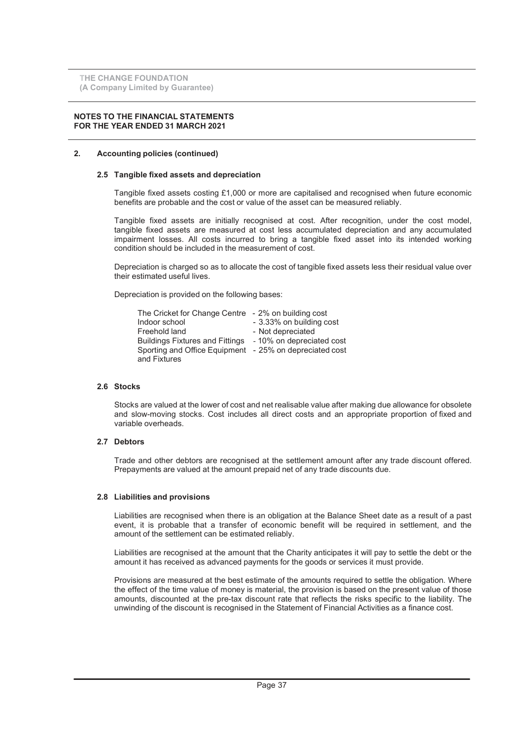### NOTES TO THE FINANCIAL STATEMENTS FOR THE YEAR ENDED 31 MARCH 2021

# 2. Accounting policies (continued)

#### 2.5 Tangible fixed assets and depreciation

Tangible fixed assets costing £1,000 or more are capitalised and recognised when future economic benefits are probable and the cost or value of the asset can be measured reliably.

Tangible fixed assets are initially recognised at cost. After recognition, under the cost model, tangible fixed assets are measured at cost less accumulated depreciation and any accumulated impairment losses. All costs incurred to bring a tangible fixed asset into its intended working condition should be included in the measurement of cost.

Depreciation is charged so as to allocate the cost of tangible fixed assets less their residual value over their estimated useful lives.

Depreciation is provided on the following bases:

| The Cricket for Change Centre - 2% on building cost     |                           |
|---------------------------------------------------------|---------------------------|
| Indoor school                                           | - 3.33% on building cost  |
| Freehold land                                           | - Not depreciated         |
| <b>Buildings Fixtures and Fittings</b>                  | - 10% on depreciated cost |
| Sporting and Office Equipment - 25% on depreciated cost |                           |
| and Fixtures                                            |                           |

#### 2.6 Stocks

Stocks are valued at the lower of cost and net realisable value after making due allowance for obsolete and slow-moving stocks. Cost includes all direct costs and an appropriate proportion of fixed and variable overheads.

# 2.7 Debtors

Trade and other debtors are recognised at the settlement amount after any trade discount offered. Prepayments are valued at the amount prepaid net of any trade discounts due.

#### 2.8 Liabilities and provisions

Liabilities are recognised when there is an obligation at the Balance Sheet date as a result of a past event, it is probable that a transfer of economic benefit will be required in settlement, and the amount of the settlement can be estimated reliably.

Liabilities are recognised at the amount that the Charity anticipates it will pay to settle the debt or the amount it has received as advanced payments for the goods or services it must provide.

Provisions are measured at the best estimate of the amounts required to settle the obligation. Where the effect of the time value of money is material, the provision is based on the present value of those amounts, discounted at the pre-tax discount rate that reflects the risks specific to the liability. The unwinding of the discount is recognised in the Statement of Financial Activities as a finance cost.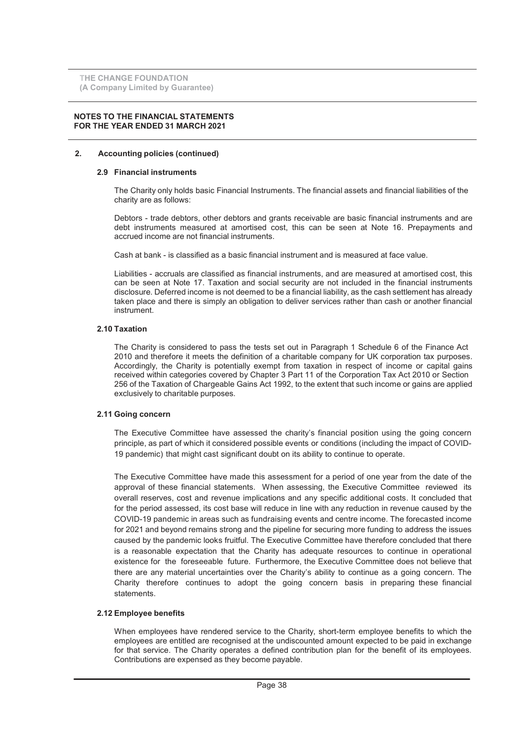#### NOTES TO THE FINANCIAL STATEMENTS FOR THE YEAR ENDED 31 MARCH 2021

# 2. Accounting policies (continued)

#### 2.9 Financial instruments

The Charity only holds basic Financial Instruments. The financial assets and financial liabilities of the charity are as follows:

Debtors - trade debtors, other debtors and grants receivable are basic financial instruments and are debt instruments measured at amortised cost, this can be seen at Note 16. Prepayments and accrued income are not financial instruments.

Cash at bank - is classified as a basic financial instrument and is measured at face value.

Liabilities - accruals are classified as financial instruments, and are measured at amortised cost, this can be seen at Note 17. Taxation and social security are not included in the financial instruments disclosure. Deferred income is not deemed to be a financial liability, as the cash settlement has already taken place and there is simply an obligation to deliver services rather than cash or another financial instrument.

### 2.10 Taxation

The Charity is considered to pass the tests set out in Paragraph 1 Schedule 6 of the Finance Act 2010 and therefore it meets the definition of a charitable company for UK corporation tax purposes. Accordingly, the Charity is potentially exempt from taxation in respect of income or capital gains received within categories covered by Chapter 3 Part 11 of the Corporation Tax Act 2010 or Section 256 of the Taxation of Chargeable Gains Act 1992, to the extent that such income or gains are applied exclusively to charitable purposes.

# 2.11 Going concern

The Executive Committee have assessed the charity's financial position using the going concern principle, as part of which it considered possible events or conditions (including the impact of COVID-19 pandemic) that might cast significant doubt on its ability to continue to operate.

The Executive Committee have made this assessment for a period of one year from the date of the approval of these financial statements. When assessing, the Executive Committee reviewed its overall reserves, cost and revenue implications and any specific additional costs. It concluded that for the period assessed, its cost base will reduce in line with any reduction in revenue caused by the COVID-19 pandemic in areas such as fundraising events and centre income. The forecasted income for 2021 and beyond remains strong and the pipeline for securing more funding to address the issues caused by the pandemic looks fruitful. The Executive Committee have therefore concluded that there is a reasonable expectation that the Charity has adequate resources to continue in operational existence for the foreseeable future. Furthermore, the Executive Committee does not believe that there are any material uncertainties over the Charity's ability to continue as a going concern. The Charity therefore continues to adopt the going concern basis in preparing these financial statements.

# 2.12 Employee benefits

When employees have rendered service to the Charity, short-term employee benefits to which the employees are entitled are recognised at the undiscounted amount expected to be paid in exchange for that service. The Charity operates a defined contribution plan for the benefit of its employees. Contributions are expensed as they become payable.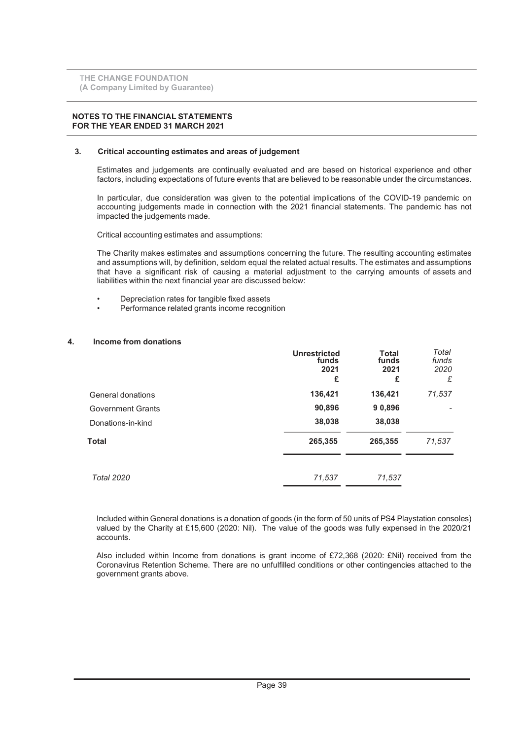# NOTES TO THE FINANCIAL STATEMENTS FOR THE YEAR ENDED 31 MARCH 2021

### 3. Critical accounting estimates and areas of judgement

Estimates and judgements are continually evaluated and are based on historical experience and other factors, including expectations of future events that are believed to be reasonable under the circumstances.

In particular, due consideration was given to the potential implications of the COVID-19 pandemic on accounting judgements made in connection with the 2021 financial statements. The pandemic has not impacted the judgements made.

Critical accounting estimates and assumptions:

The Charity makes estimates and assumptions concerning the future. The resulting accounting estimates and assumptions will, by definition, seldom equal the related actual results. The estimates and assumptions that have a significant risk of causing a material adjustment to the carrying amounts of assets and liabilities within the next financial year are discussed below:

- Depreciation rates for tangible fixed assets
- Performance related grants income recognition

### 4. Income from donations

|                          | <b>Unrestricted</b><br>funds<br>2021<br>£ | <b>Total</b><br>funds<br>2021<br>£ | Total<br>funds<br>2020<br>£ |
|--------------------------|-------------------------------------------|------------------------------------|-----------------------------|
| General donations        | 136,421                                   | 136,421                            | 71,537                      |
| <b>Government Grants</b> | 90,896                                    | 9 0,896                            |                             |
| Donations-in-kind        | 38,038                                    | 38,038                             |                             |
| <b>Total</b>             | 265,355                                   | 265,355                            | 71,537                      |
| <b>Total 2020</b>        | 71,537                                    | 71,537                             |                             |

Included within General donations is a donation of goods (in the form of 50 units of PS4 Playstation consoles) valued by the Charity at £15,600 (2020: Nil). The value of the goods was fully expensed in the 2020/21 accounts.

Also included within Income from donations is grant income of £72,368 (2020: £Nil) received from the Coronavirus Retention Scheme. There are no unfulfilled conditions or other contingencies attached to the government grants above.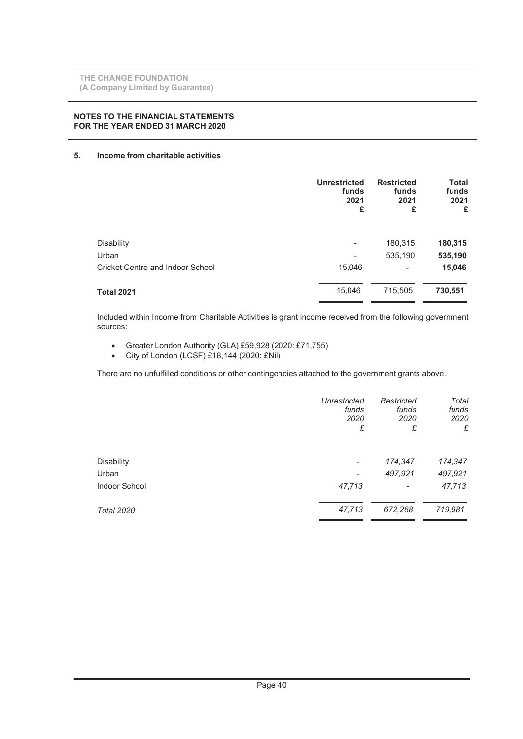# 5. Income from charitable activities

|                                         | <b>Unrestricted</b><br>funds<br>2021<br>£ | <b>Restricted</b><br>funds<br>2021<br>£ | <b>Total</b><br>funds<br>2021<br>£ |
|-----------------------------------------|-------------------------------------------|-----------------------------------------|------------------------------------|
| <b>Disability</b>                       | $\overline{\phantom{a}}$                  | 180,315                                 | 180,315                            |
| Urban                                   |                                           | 535,190                                 | 535,190                            |
| <b>Cricket Centre and Indoor School</b> | 15,046                                    | $\overline{\phantom{a}}$                | 15,046                             |
| <b>Total 2021</b>                       | 15,046                                    | 715,505                                 | 730,551                            |

Included within Income from Charitable Activities is grant income received from the following government sources:

- · Greater London Authority (GLA) £59,928 (2020: £71,755)
- · City of London (LCSF) £18,144 (2020: £Nil)

There are no unfulfilled conditions or other contingencies attached to the government grants above.

|                   | Unrestricted<br>funds<br>2020<br>£ | Restricted<br>funds<br>2020<br>£ | Total<br>funds<br>2020<br>£ |
|-------------------|------------------------------------|----------------------------------|-----------------------------|
| <b>Disability</b> | $\overline{\phantom{a}}$           | 174,347                          | 174,347                     |
| Urban             | $\overline{\phantom{a}}$           | 497,921                          | 497,921                     |
| Indoor School     | 47,713                             | ٠                                | 47,713                      |
| <b>Total 2020</b> | 47,713                             | 672,268                          | 719,981                     |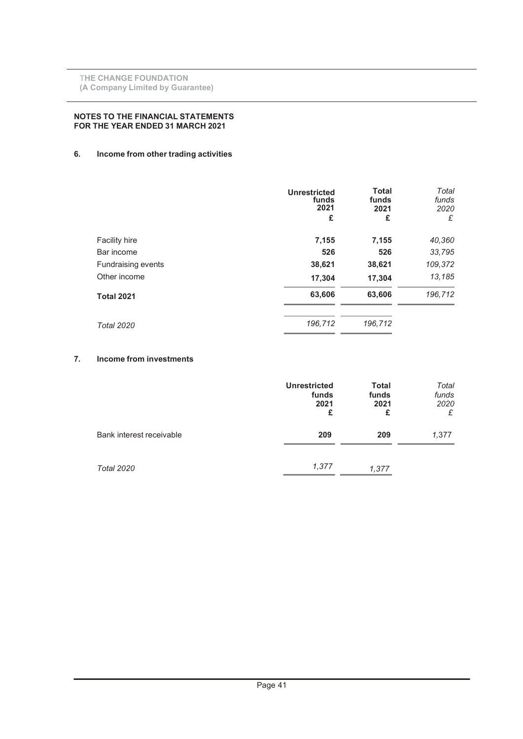# 6. Income from other trading activities

|                           | <b>Unrestricted</b><br>funds<br>2021<br>£ | <b>Total</b><br>funds<br>2021<br>£ | Total<br>funds<br>2020<br>£ |
|---------------------------|-------------------------------------------|------------------------------------|-----------------------------|
| <b>Facility hire</b>      | 7,155                                     | 7,155                              | 40,360                      |
| Bar income                | 526                                       | 526                                | 33,795                      |
| <b>Fundraising events</b> | 38,621                                    | 38,621                             | 109,372                     |
| Other income              | 17,304                                    | 17,304                             | 13,185                      |
| <b>Total 2021</b>         | 63,606                                    | 63,606                             | 196,712                     |
| <b>Total 2020</b>         | 196,712                                   | 196,712                            |                             |
|                           |                                           |                                    |                             |

# 7. Income from investments

|                          | <b>Unrestricted</b><br>funds<br>2021<br>£ | <b>Total</b><br>funds<br>2021<br>£ | Total<br>funds<br>2020<br>£ |
|--------------------------|-------------------------------------------|------------------------------------|-----------------------------|
| Bank interest receivable | 209                                       | 209                                | 1,377                       |
| <b>Total 2020</b>        | 1,377                                     | 1.377                              |                             |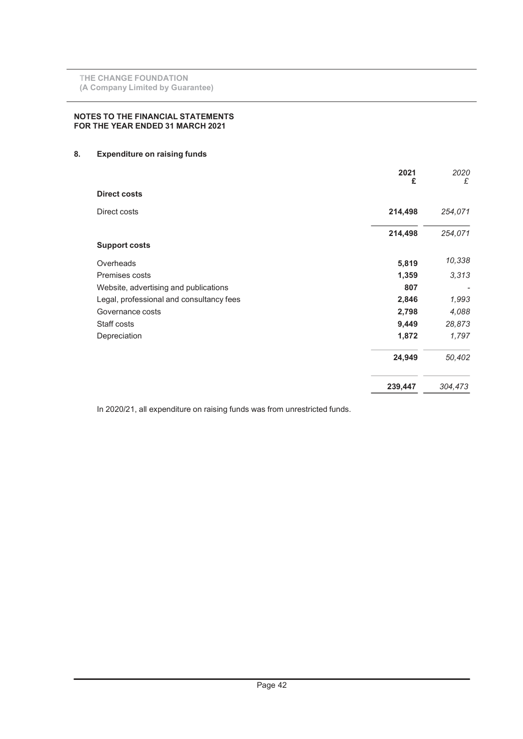# 8. Expenditure on raising funds

|                                          | 2021<br>£ | 2020<br>£ |
|------------------------------------------|-----------|-----------|
| <b>Direct costs</b>                      |           |           |
| Direct costs                             | 214,498   | 254,071   |
|                                          | 214,498   | 254,071   |
| <b>Support costs</b>                     |           |           |
| Overheads                                | 5,819     | 10,338    |
| Premises costs                           | 1,359     | 3,313     |
| Website, advertising and publications    | 807       |           |
| Legal, professional and consultancy fees | 2,846     | 1,993     |
| Governance costs                         | 2,798     | 4,088     |
| Staff costs                              | 9,449     | 28,873    |
| Depreciation                             | 1,872     | 1,797     |
|                                          | 24,949    | 50,402    |
|                                          | 239,447   | 304,473   |

In 2020/21, all expenditure on raising funds was from unrestricted funds.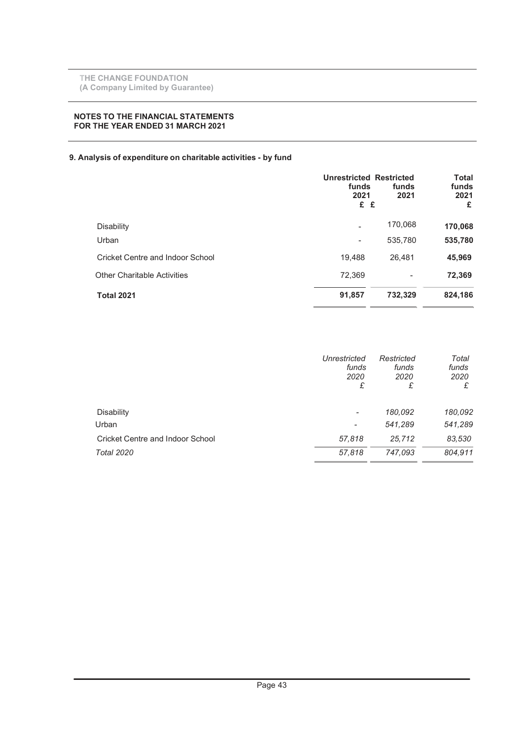# 9. Analysis of expenditure on charitable activities - by fund

|                                    | <b>Unrestricted Restricted</b><br>funds<br>2021<br>£ £ | funds<br>2021 | Total<br>funds<br>2021<br>£ |
|------------------------------------|--------------------------------------------------------|---------------|-----------------------------|
| <b>Disability</b>                  |                                                        | 170,068       | 170,068                     |
| Urban                              | $\overline{\phantom{a}}$                               | 535,780       | 535,780                     |
| Cricket Centre and Indoor School   | 19,488                                                 | 26,481        | 45,969                      |
| <b>Other Charitable Activities</b> | 72,369                                                 |               | 72,369                      |
| <b>Total 2021</b>                  | 91,857                                                 | 732,329       | 824,186                     |

|                                  | Unrestricted<br>funds<br>2020<br>£ | Restricted<br>funds<br>2020<br>£ | Total<br>funds<br>2020<br>£ |
|----------------------------------|------------------------------------|----------------------------------|-----------------------------|
| <b>Disability</b>                | ۰                                  | 180,092                          | 180,092                     |
| Urban                            | ٠                                  | 541,289                          | 541,289                     |
| Cricket Centre and Indoor School | 57,818                             | 25,712                           | 83,530                      |
| <b>Total 2020</b>                | 57,818                             | 747,093                          | 804,911                     |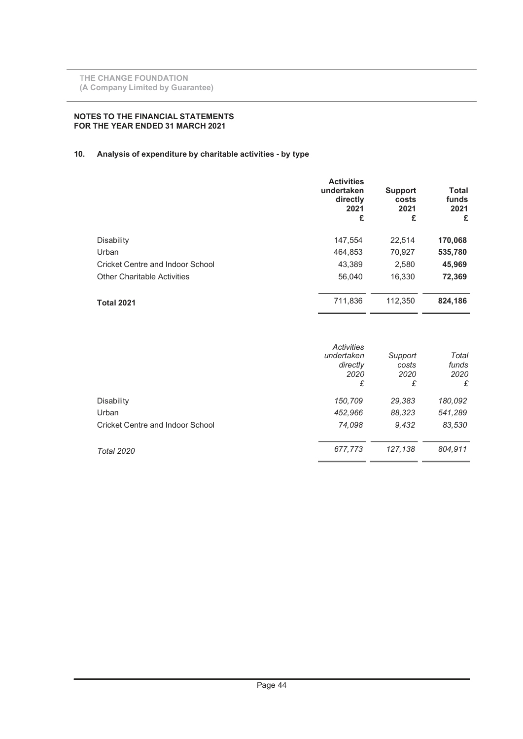# 10. Analysis of expenditure by charitable activities - by type

|                                    | <b>Activities</b><br>undertaken<br>directly<br>2021<br>£ | <b>Support</b><br>costs<br>2021<br>£ | <b>Total</b><br>funds<br>2021<br>£ |
|------------------------------------|----------------------------------------------------------|--------------------------------------|------------------------------------|
| <b>Disability</b>                  | 147,554                                                  | 22,514                               | 170,068                            |
| Urban                              | 464,853                                                  | 70,927                               | 535,780                            |
| Cricket Centre and Indoor School   | 43,389                                                   | 2,580                                | 45,969                             |
| <b>Other Charitable Activities</b> | 56,040                                                   | 16,330                               | 72,369                             |
| <b>Total 2021</b>                  | 711,836                                                  | 112,350                              | 824,186                            |

|                                  | <b>Activities</b><br>undertaken<br>directly<br>2020<br>£ | Support<br>costs<br>2020<br>£ | Total<br>funds<br>2020<br>£ |
|----------------------------------|----------------------------------------------------------|-------------------------------|-----------------------------|
| <b>Disability</b>                | 150,709                                                  | 29,383                        | 180,092                     |
| Urban                            | 452,966                                                  | 88,323                        | 541,289                     |
| Cricket Centre and Indoor School | 74,098                                                   | 9.432                         | 83,530                      |
| <b>Total 2020</b>                | 677,773                                                  | 127,138                       | 804.911                     |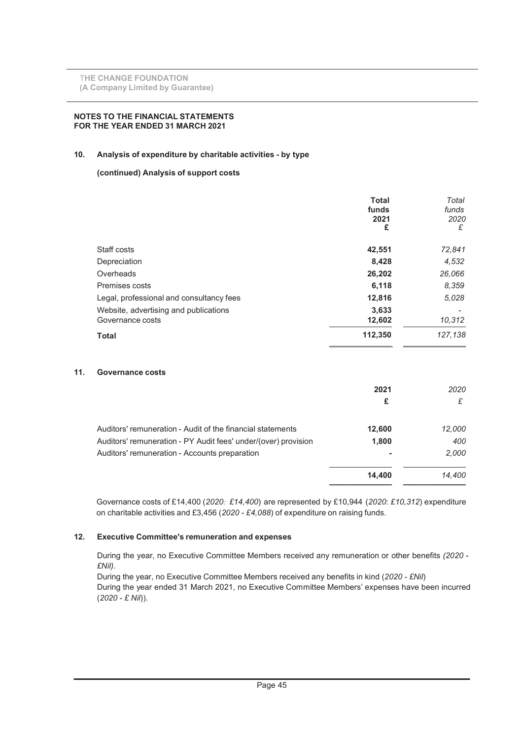# 10. Analysis of expenditure by charitable activities - by type

# (continued) Analysis of support costs

|                                          | <b>Total</b><br>funds<br>2021<br>£ | Total<br>funds<br>2020<br>£ |
|------------------------------------------|------------------------------------|-----------------------------|
| Staff costs                              | 42,551                             | 72.841                      |
| Depreciation                             | 8,428                              | 4,532                       |
| Overheads                                | 26,202                             | 26,066                      |
| Premises costs                           | 6,118                              | 8.359                       |
| Legal, professional and consultancy fees | 12,816                             | 5.028                       |
| Website, advertising and publications    | 3,633                              |                             |
| Governance costs                         | 12,602                             | 10,312                      |
| <b>Total</b>                             | 112,350                            | 127,138                     |

Ī

# 11. Governance costs

|                                                                | 2021<br>£ | 2020   |
|----------------------------------------------------------------|-----------|--------|
| Auditors' remuneration - Audit of the financial statements     | 12,600    | 12,000 |
| Auditors' remuneration - PY Audit fees' under/(over) provision | 1,800     | 400    |
| Auditors' remuneration - Accounts preparation                  |           | 2,000  |
|                                                                | 14,400    | 14.400 |

Governance costs of £14,400 (2020: £14,400) are represented by £10,944 (2020: £10,312) expenditure on charitable activities and £3,456 (2020 - £4,088) of expenditure on raising funds.

# 12. Executive Committee's remuneration and expenses

During the year, no Executive Committee Members received any remuneration or other benefits (2020 - £Nil).

During the year, no Executive Committee Members received any benefits in kind (2020 - £Nil) During the year ended 31 March 2021, no Executive Committee Members' expenses have been incurred  $(2020 - E Nil)$ ).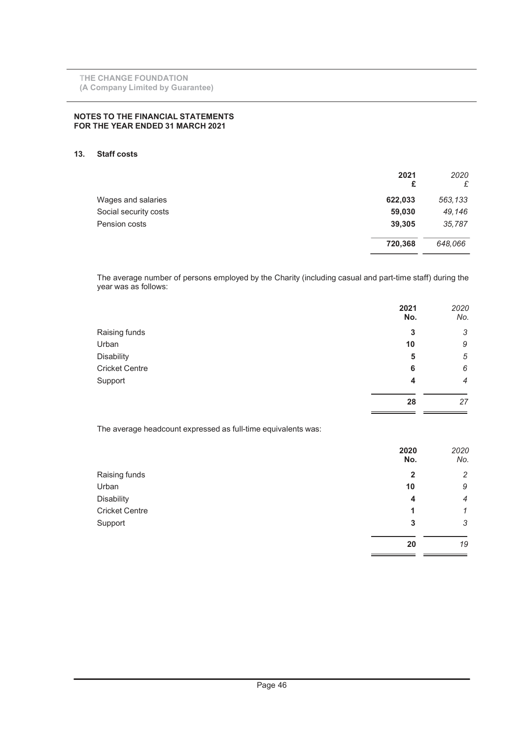# 13. Staff costs

|                       | 2021<br>£ | 2020<br>£ |
|-----------------------|-----------|-----------|
| Wages and salaries    | 622,033   | 563,133   |
| Social security costs | 59,030    | 49,146    |
| Pension costs         | 39,305    | 35,787    |
|                       | 720,368   | 648,066   |
|                       |           |           |

The average number of persons employed by the Charity (including casual and part-time staff) during the year was as follows:

|                       | 2021<br>No. | 2020<br>No.    |
|-----------------------|-------------|----------------|
| Raising funds         | 3           | 3              |
| Urban                 | 10          | 9              |
| <b>Disability</b>     | 5           | 5              |
| <b>Cricket Centre</b> | 6           | 6              |
| Support               | 4           | $\overline{4}$ |
|                       | 28          | 27             |

The average headcount expressed as full-time equivalents was:

|                       | 2020<br>No. | 2020<br>No.    |
|-----------------------|-------------|----------------|
| Raising funds         | 2           | $\overline{2}$ |
| Urban                 | 10          | 9              |
| <b>Disability</b>     | 4           | $\overline{4}$ |
| <b>Cricket Centre</b> | 1           | 1              |
| Support               | 3           | 3              |
|                       | 20          | 19             |

 $\overline{a}$  $=$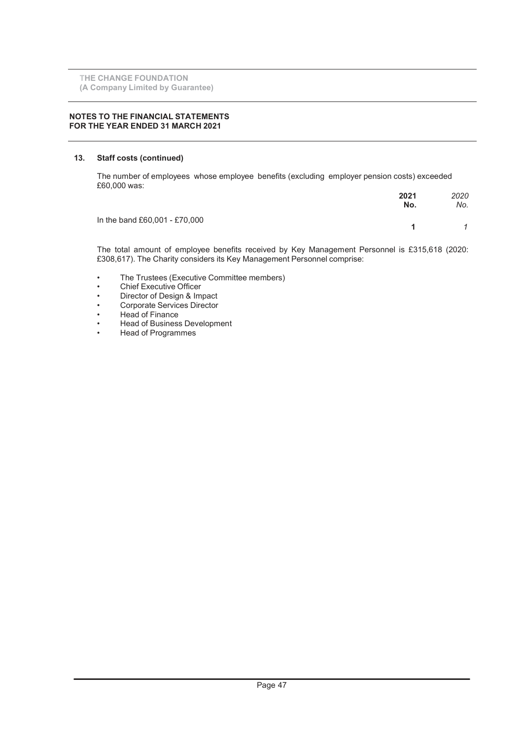### NOTES TO THE FINANCIAL STATEMENTS FOR THE YEAR ENDED 31 MARCH 2021

# 13. Staff costs (continued)

The number of employees whose employee benefits (excluding employer pension costs) exceeded £60,000 was:

|                               | 2021<br>No. | 2020<br>No.    |
|-------------------------------|-------------|----------------|
| In the band £60,001 - £70,000 |             | $\overline{1}$ |

The total amount of employee benefits received by Key Management Personnel is £315,618 (2020: £308,617). The Charity considers its Key Management Personnel comprise:

- The Trustees (Executive Committee members)
- Chief Executive Officer<br>• Director of Desian & Im
- Director of Design & Impact
- Corporate Services Director
- Head of Finance<br>• Head of Rusiness
- Head of Business Development
- Head of Programmes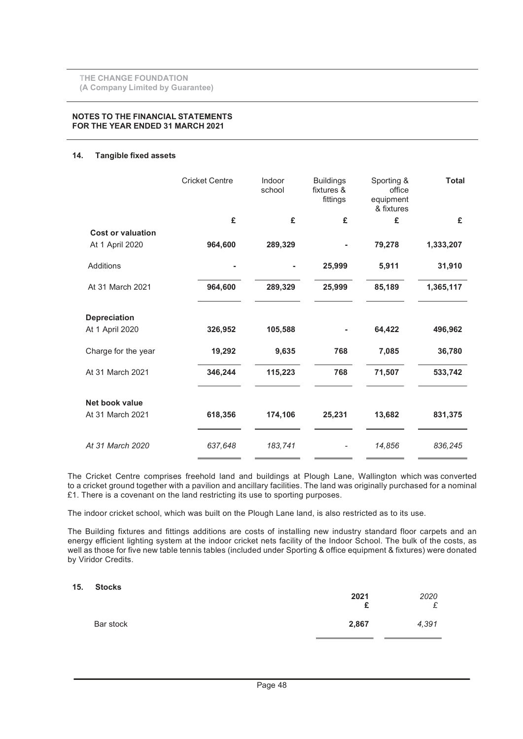# 14. Tangible fixed assets

|                          | <b>Cricket Centre</b> | Indoor<br>school | <b>Buildings</b><br>fixtures &<br>fittings | Sporting &<br>office<br>equipment<br>& fixtures | <b>Total</b> |
|--------------------------|-----------------------|------------------|--------------------------------------------|-------------------------------------------------|--------------|
|                          | £                     | £                | £                                          | £                                               | £            |
| <b>Cost or valuation</b> |                       |                  |                                            |                                                 |              |
| At 1 April 2020          | 964,600               | 289,329          |                                            | 79,278                                          | 1,333,207    |
| <b>Additions</b>         |                       |                  | 25,999                                     | 5,911                                           | 31,910       |
| At 31 March 2021         | 964,600               | 289,329          | 25,999                                     | 85,189                                          | 1,365,117    |
| <b>Depreciation</b>      |                       |                  |                                            |                                                 |              |
| At 1 April 2020          | 326,952               | 105,588          |                                            | 64,422                                          | 496,962      |
| Charge for the year      | 19,292                | 9,635            | 768                                        | 7,085                                           | 36,780       |
| At 31 March 2021         | 346,244               | 115,223          | 768                                        | 71,507                                          | 533,742      |
| Net book value           |                       |                  |                                            |                                                 |              |
| At 31 March 2021         |                       |                  |                                            |                                                 |              |
|                          | 618,356               | 174,106          | 25,231                                     | 13,682                                          | 831,375      |
| At 31 March 2020         | 637,648               | 183,741          |                                            | 14,856                                          | 836,245      |

The Cricket Centre comprises freehold land and buildings at Plough Lane, Wallington which was converted to a cricket ground together with a pavilion and ancillary facilities. The land was originally purchased for a nominal £1. There is a covenant on the land restricting its use to sporting purposes.

The indoor cricket school, which was built on the Plough Lane land, is also restricted as to its use.

The Building fixtures and fittings additions are costs of installing new industry standard floor carpets and an energy efficient lighting system at the indoor cricket nets facility of the Indoor School. The bulk of the costs, as well as those for five new table tennis tables (included under Sporting & office equipment & fixtures) were donated by Viridor Credits.

# 15. Stocks

| _____<br>___ | 2021<br>$\sim$<br>- | 2020<br>₽<br>∼ |
|--------------|---------------------|----------------|
| Bar stock    | 2,867               | 4,391          |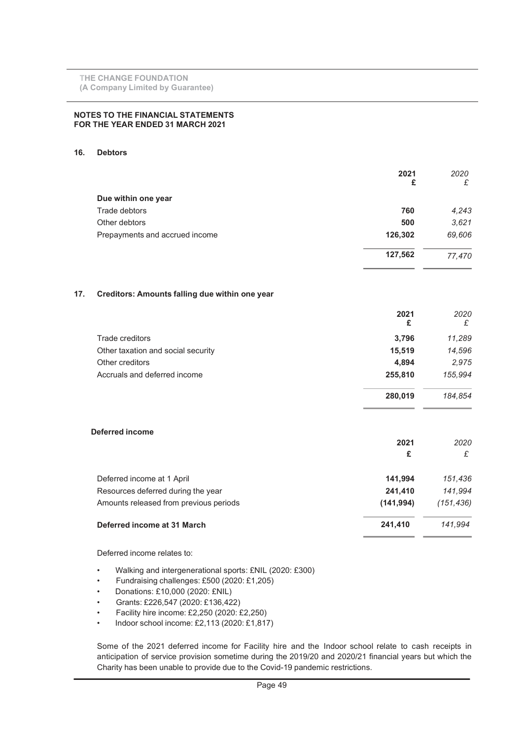#### 16. Debtors

|                                                       | 2021<br>£  | 2020<br>£  |
|-------------------------------------------------------|------------|------------|
| Due within one year                                   |            |            |
| Trade debtors                                         | 760        | 4,243      |
| Other debtors                                         | 500        | 3,621      |
| Prepayments and accrued income                        | 126,302    | 69,606     |
|                                                       | 127,562    | 77,470     |
| 17.<br>Creditors: Amounts falling due within one year |            |            |
|                                                       | 2021<br>£  | 2020<br>£  |
| Trade creditors                                       | 3,796      | 11,289     |
| Other taxation and social security                    | 15,519     | 14,596     |
| Other creditors                                       | 4,894      | 2,975      |
| Accruals and deferred income                          | 255,810    | 155,994    |
|                                                       | 280,019    | 184,854    |
| <b>Deferred income</b>                                |            |            |
|                                                       | 2021       | 2020       |
|                                                       | £          | £          |
| Deferred income at 1 April                            | 141,994    | 151,436    |
| Resources deferred during the year                    | 241,410    | 141,994    |
| Amounts released from previous periods                | (141, 994) | (151, 436) |
| Deferred income at 31 March                           | 241,410    | 141,994    |

Deferred income relates to:

- Walking and intergenerational sports: £NIL (2020: £300)
- Fundraising challenges: £500 (2020: £1,205)
- Donations: £10,000 (2020: £NIL)
- Grants: £226,547 (2020: £136,422)
- Facility hire income: £2,250 (2020: £2,250)
- Indoor school income: £2,113 (2020: £1,817)

Some of the 2021 deferred income for Facility hire and the Indoor school relate to cash receipts in anticipation of service provision sometime during the 2019/20 and 2020/21 financial years but which the Charity has been unable to provide due to the Covid-19 pandemic restrictions.

Ī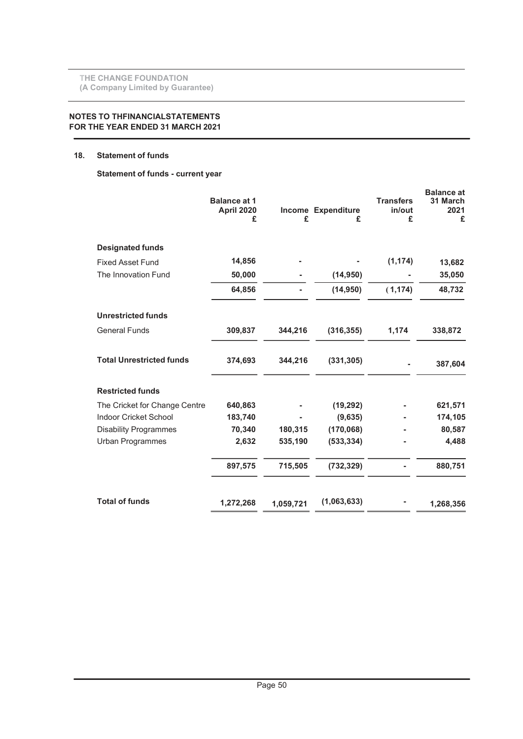# 18. Statement of funds

# Statement of funds - current year

|                                 | <b>Balance at 1</b><br>April 2020<br>£ | £         | Income Expenditure<br>£ | <b>Transfers</b><br>in/out<br>£ | <b>Balance at</b><br>31 March<br>2021<br>£ |
|---------------------------------|----------------------------------------|-----------|-------------------------|---------------------------------|--------------------------------------------|
|                                 |                                        |           |                         |                                 |                                            |
| <b>Designated funds</b>         |                                        |           |                         |                                 |                                            |
| <b>Fixed Asset Fund</b>         | 14,856                                 |           |                         | (1, 174)                        | 13,682                                     |
| The Innovation Fund             | 50,000                                 |           | (14, 950)               |                                 | 35,050                                     |
|                                 | 64,856                                 |           | (14, 950)               | (1, 174)                        | 48,732                                     |
| <b>Unrestricted funds</b>       |                                        |           |                         |                                 |                                            |
| <b>General Funds</b>            | 309,837                                | 344,216   | (316, 355)              | 1,174                           | 338,872                                    |
| <b>Total Unrestricted funds</b> | 374,693                                | 344,216   | (331, 305)              |                                 | 387,604                                    |
| <b>Restricted funds</b>         |                                        |           |                         |                                 |                                            |
| The Cricket for Change Centre   | 640,863                                |           | (19, 292)               |                                 | 621,571                                    |
| Indoor Cricket School           | 183,740                                |           | (9,635)                 |                                 | 174,105                                    |
| <b>Disability Programmes</b>    | 70,340                                 | 180,315   | (170,068)               |                                 | 80,587                                     |
| <b>Urban Programmes</b>         | 2,632                                  | 535,190   | (533, 334)              |                                 | 4,488                                      |
|                                 | 897,575                                | 715,505   | (732, 329)              |                                 | 880,751                                    |
| <b>Total of funds</b>           | 1,272,268                              | 1,059,721 | (1,063,633)             |                                 | 1,268,356                                  |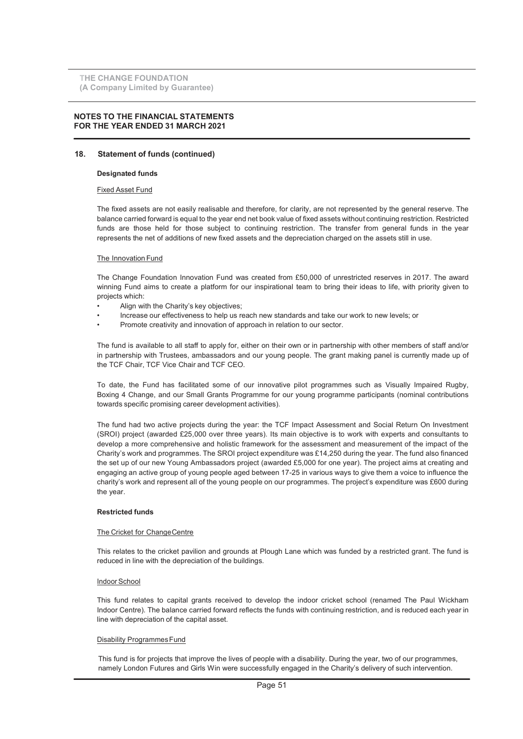#### NOTES TO THE FINANCIAL STATEMENTS FOR THE YEAR ENDED 31 MARCH 2021

#### 18. Statement of funds (continued)

#### Designated funds

#### Fixed Asset Fund

The fixed assets are not easily realisable and therefore, for clarity, are not represented by the general reserve. The balance carried forward is equal to the year end net book value of fixed assets without continuing restriction. Restricted funds are those held for those subject to continuing restriction. The transfer from general funds in the year represents the net of additions of new fixed assets and the depreciation charged on the assets still in use.

#### The Innovation Fund

The Change Foundation Innovation Fund was created from £50,000 of unrestricted reserves in 2017. The award winning Fund aims to create a platform for our inspirational team to bring their ideas to life, with priority given to projects which:

- Align with the Charity's key objectives;
- Increase our effectiveness to help us reach new standards and take our work to new levels; or
- Promote creativity and innovation of approach in relation to our sector.

The fund is available to all staff to apply for, either on their own or in partnership with other members of staff and/or in partnership with Trustees, ambassadors and our young people. The grant making panel is currently made up of the TCF Chair, TCF Vice Chair and TCF CEO.

To date, the Fund has facilitated some of our innovative pilot programmes such as Visually Impaired Rugby, Boxing 4 Change, and our Small Grants Programme for our young programme participants (nominal contributions towards specific promising career development activities).

The fund had two active projects during the year: the TCF Impact Assessment and Social Return On Investment (SROI) project (awarded £25,000 over three years). Its main objective is to work with experts and consultants to develop a more comprehensive and holistic framework for the assessment and measurement of the impact of the Charity's work and programmes. The SROI project expenditure was £14,250 during the year. The fund also financed the set up of our new Young Ambassadors project (awarded £5,000 for one year). The project aims at creating and engaging an active group of young people aged between 17-25 in various ways to give them a voice to influence the charity's work and represent all of the young people on our programmes. The project's expenditure was £600 during the year.

#### Restricted funds

#### The Cricket for Change Centre

This relates to the cricket pavilion and grounds at Plough Lane which was funded by a restricted grant. The fund is reduced in line with the depreciation of the buildings.

#### Indoor School

This fund relates to capital grants received to develop the indoor cricket school (renamed The Paul Wickham Indoor Centre). The balance carried forward reflects the funds with continuing restriction, and is reduced each year in line with depreciation of the capital asset.

#### Disability Programmes Fund

This fund is for projects that improve the lives of people with a disability. During the year, two of our programmes, namely London Futures and Girls Win were successfully engaged in the Charity's delivery of such intervention.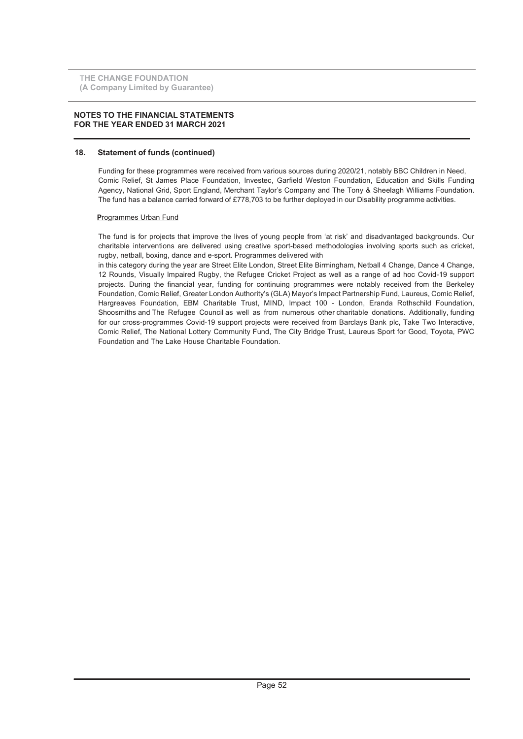# NOTES TO THE FINANCIAL STATEMENTS FOR THE YEAR ENDED 31 MARCH 2021

### 18. Statement of funds (continued)

Funding for these programmes were received from various sources during 2020/21, notably BBC Children in Need, Comic Relief, St James Place Foundation, Investec, Garfield Weston Foundation, Education and Skills Funding Agency, National Grid, Sport England, Merchant Taylor's Company and The Tony & Sheelagh Williams Foundation. The fund has a balance carried forward of £778,703 to be further deployed in our Disability programme activities.

#### Programmes Urban Fund

The fund is for projects that improve the lives of young people from 'at risk' and disadvantaged backgrounds. Our charitable interventions are delivered using creative sport-based methodologies involving sports such as cricket, rugby, netball, boxing, dance and e-sport. Programmes delivered with

in this category during the year are Street Elite London, Street Elite Birmingham, Netball 4 Change, Dance 4 Change, 12 Rounds, Visually Impaired Rugby, the Refugee Cricket Project as well as a range of ad hoc Covid-19 support projects. During the financial year, funding for continuing programmes were notably received from the Berkeley Foundation, Comic Relief, Greater London Authority's (GLA) Mayor's Impact Partnership Fund, Laureus, Comic Relief, Hargreaves Foundation, EBM Charitable Trust, MIND, Impact 100 - London, Eranda Rothschild Foundation, Shoosmiths and The Refugee Council as well as from numerous other charitable donations. Additionally, funding for our cross-programmes Covid-19 support projects were received from Barclays Bank plc, Take Two Interactive, Comic Relief, The National Lottery Community Fund, The City Bridge Trust, Laureus Sport for Good, Toyota, PWC Foundation and The Lake House Charitable Foundation.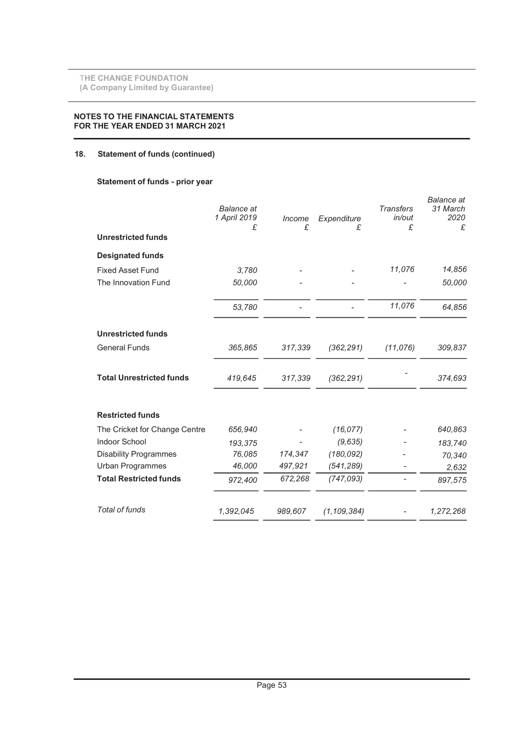# 18. Statement of funds (continued)

# Statement of funds - prior year

|                                 | <b>Balance</b> at<br>1 April 2019 | Income<br>£ | Expenditure   | <b>Transfers</b><br>in/out<br>£ | <b>Balance</b> at<br>31 March<br>2020<br>£ |
|---------------------------------|-----------------------------------|-------------|---------------|---------------------------------|--------------------------------------------|
| <b>Unrestricted funds</b>       |                                   |             |               |                                 |                                            |
| <b>Designated funds</b>         |                                   |             |               |                                 |                                            |
| <b>Fixed Asset Fund</b>         | 3,780                             |             |               | 11,076                          | 14,856                                     |
| The Innovation Fund             | 50,000                            |             |               |                                 | 50,000                                     |
|                                 | 53,780                            |             |               | 11,076                          | 64,856                                     |
| <b>Unrestricted funds</b>       |                                   |             |               |                                 |                                            |
| <b>General Funds</b>            | 365,865                           | 317,339     | (362, 291)    | (11, 076)                       | 309,837                                    |
| <b>Total Unrestricted funds</b> | 419,645                           | 317,339     | (362, 291)    |                                 | 374,693                                    |
| <b>Restricted funds</b>         |                                   |             |               |                                 |                                            |
| The Cricket for Change Centre   | 656,940                           |             | (16, 077)     |                                 | 640,863                                    |
| Indoor School                   | 193.375                           |             | (9,635)       |                                 | 183,740                                    |
| <b>Disability Programmes</b>    | 76,085                            | 174,347     | (180, 092)    |                                 | 70,340                                     |
| Urban Programmes                | 46,000                            | 497,921     | (541, 289)    |                                 | 2,632                                      |
| <b>Total Restricted funds</b>   | 972,400                           | 672,268     | (747, 093)    |                                 | 897,575                                    |
| Total of funds                  | 1,392,045                         | 989,607     | (1, 109, 384) |                                 | 1,272,268                                  |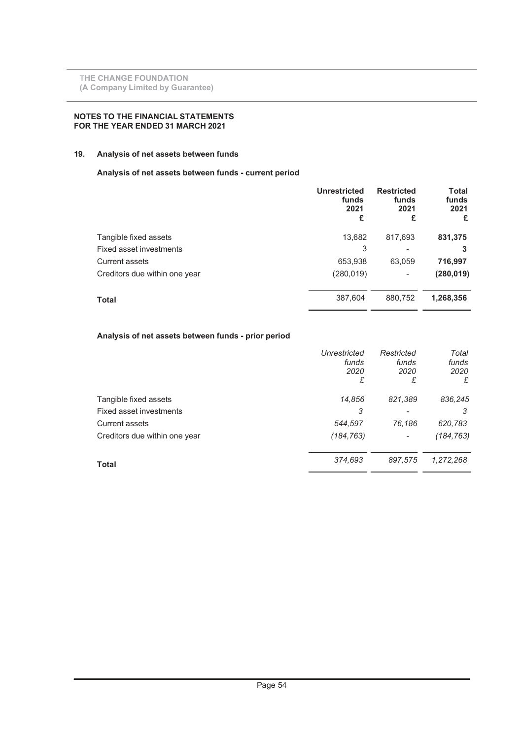# 19. Analysis of net assets between funds

# Analysis of net assets between funds - current period

|                               | <b>Unrestricted</b><br>funds<br>2021<br>£ | <b>Restricted</b><br>funds<br>2021<br>£ | <b>Total</b><br>funds<br>2021<br>£ |
|-------------------------------|-------------------------------------------|-----------------------------------------|------------------------------------|
| Tangible fixed assets         | 13,682                                    | 817,693                                 | 831,375                            |
| Fixed asset investments       | 3                                         |                                         | 3                                  |
| Current assets                | 653,938                                   | 63,059                                  | 716,997                            |
| Creditors due within one year | (280, 019)                                |                                         | (280, 019)                         |
| <b>Total</b>                  | 387,604                                   | 880,752                                 | 1,268,356                          |
|                               |                                           |                                         |                                    |

# Analysis of net assets between funds - prior period

|                               | Unrestricted<br>funds<br>2020<br>£ | Restricted<br>funds<br>2020<br>£ | Total<br>funds<br>2020<br>£ |
|-------------------------------|------------------------------------|----------------------------------|-----------------------------|
| Tangible fixed assets         | 14,856                             | 821,389                          | 836,245                     |
| Fixed asset investments       | 3                                  | ۰                                | 3                           |
| Current assets                | 544,597                            | 76,186                           | 620,783                     |
| Creditors due within one year | (184, 763)                         | ۰                                | (184, 763)                  |
| <b>Total</b>                  | 374,693                            | 897,575                          | 1,272,268                   |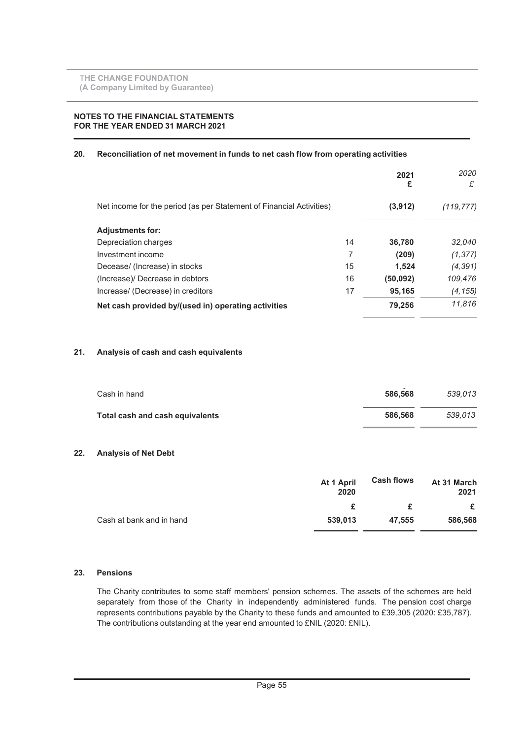# 20. Reconciliation of net movement in funds to net cash flow from operating activities

|                                                                      |    | 2021<br>£ | 2020<br>£  |
|----------------------------------------------------------------------|----|-----------|------------|
| Net income for the period (as per Statement of Financial Activities) |    | (3,912)   | (119, 777) |
| <b>Adjustments for:</b>                                              |    |           |            |
| Depreciation charges                                                 | 14 | 36,780    | 32,040     |
| Investment income                                                    | 7  | (209)     | (1, 377)   |
| Decease/ (Increase) in stocks                                        | 15 | 1.524     | (4,391)    |
| (Increase)/ Decrease in debtors                                      | 16 | (50,092)  | 109,476    |
| Increase/ (Decrease) in creditors                                    | 17 | 95,165    | (4,155)    |
| Net cash provided by/(used in) operating activities                  |    | 79,256    | 11,816     |

# 21. Analysis of cash and cash equivalents

| Cash in hand                    | 586,568 | 539.013 |
|---------------------------------|---------|---------|
| Total cash and cash equivalents | 586,568 | 539.013 |

# 22. Analysis of Net Debt

|                          | At 1 April<br>2020 | <b>Cash flows</b> | At 31 March<br>2021 |
|--------------------------|--------------------|-------------------|---------------------|
|                          | £                  | £.                |                     |
| Cash at bank and in hand | 539,013            | 47.555            | 586,568             |

# 23. Pensions

The Charity contributes to some staff members' pension schemes. The assets of the schemes are held separately from those of the Charity in independently administered funds. The pension cost charge represents contributions payable by the Charity to these funds and amounted to £39,305 (2020: £35,787). The contributions outstanding at the year end amounted to £NIL (2020: £NIL).